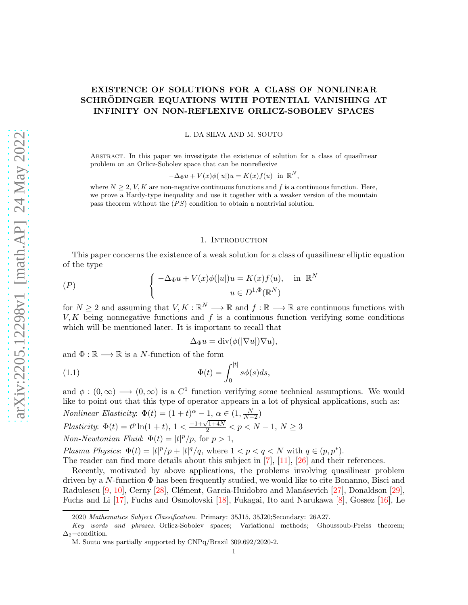# <span id="page-0-1"></span>EXISTENCE OF SOLUTIONS FOR A CLASS OF NONLINEAR SCHRÖDINGER EQUATIONS WITH POTENTIAL VANISHING AT INFINITY ON NON-REFLEXIVE ORLICZ-SOBOLEV SPACES

L. DA SILVA AND M. SOUTO

Abstract. In this paper we investigate the existence of solution for a class of quasilinear problem on an Orlicz-Sobolev space that can be nonreflexive

$$
-\Delta_{\Phi} u + V(x)\phi(|u|)u = K(x)f(u) \text{ in } \mathbb{R}^N,
$$

where  $N \geq 2$ , V, K are non-negative continuous functions and f is a continuous function. Here, we prove a Hardy-type inequality and use it together with a weaker version of the mountain pass theorem without the  $(PS)$  condition to obtain a nontrivial solution.

## 1. Introduction

This paper concerns the existence of a weak solution for a class of quasilinear elliptic equation of the type

$$
(P) \qquad \qquad \left\{ \begin{array}{ll} -\Delta_{\Phi}u + V(x)\phi(|u|)u = K(x)f(u), & \text{in } \mathbb{R}^N \\ u \in D^{1,\Phi}(\mathbb{R}^N) \end{array} \right.
$$

for  $N \geq 2$  and assuming that  $V, K : \mathbb{R}^N \longrightarrow \mathbb{R}$  and  $f : \mathbb{R} \longrightarrow \mathbb{R}$  are continuous functions with  $V, K$  being nonnegative functions and f is a continuous function verifying some conditions which will be mentioned later. It is important to recall that

<span id="page-0-0"></span>
$$
\Delta_{\Phi} u = \text{div}(\phi(|\nabla u|)\nabla u),
$$

and  $\Phi : \mathbb{R} \longrightarrow \mathbb{R}$  is a *N*-function of the form

(1.1) 
$$
\Phi(t) = \int_0^{|t|} s\phi(s)ds,
$$

and  $\phi:(0,\infty) \longrightarrow (0,\infty)$  is a  $C^1$  function verifying some technical assumptions. We would like to point out that this type of operator appears in a lot of physical applications, such as: *Nonlinear Elasticity*:  $\Phi(t) = (1+t)^{\alpha} - 1, \alpha \in (1, \frac{N}{N-2})$  $N-2$ Plasticity:  $\Phi(t) = t^p \ln(1+t), 1 < \frac{-1 + \sqrt{1+4N}}{2} < p < N-1, N \ge 3$ Non-Newtonian Fluid:  $\Phi(t) = |t|^p / p$ , for  $p > 1$ ,

Plasma Physics:  $\Phi(t) = |t|^p/p + |t|^q/q$ , where  $1 < p < q < N$  with  $q \in (p, p^*)$ . The reader can find more details about this subject in [\[7\]](#page-25-0), [\[11\]](#page-25-1), [\[26\]](#page-25-2) and their references.

Recently, motivated by above applications, the problems involving quasilinear problem driven by a N-function  $\Phi$  has been frequently studied, we would like to cite Bonanno, Bisci and Radulescu [\[9,](#page-25-3) [10\]](#page-25-4), Cerny [\[28\]](#page-25-5), Clément, Garcia-Huidobro and Manásevich [\[27\]](#page-25-6), Donaldson [\[29\]](#page-25-7), Fuchs and Li [\[17\]](#page-25-8), Fuchs and Osmolovski [\[18\]](#page-25-9), Fukagai, Ito and Narukawa [\[8\]](#page-25-10), Gossez [\[16\]](#page-25-11), Le

<sup>2020</sup> Mathematics Subject Classification. Primary: 35J15, 35J20;Secondary: 26A27.

Key words and phrases. Orlicz-Sobolev spaces; Variational methods; Ghoussoub-Preiss theorem;  $\Delta_2$ –condition.

M. Souto was partially supported by CNPq/Brazil 309.692/2020-2.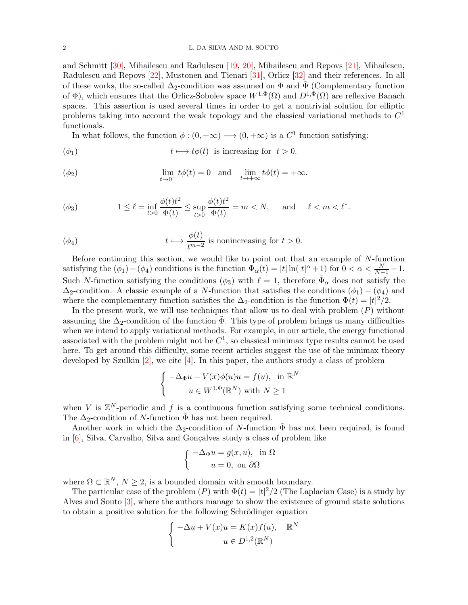### <span id="page-1-0"></span>2 L. DA SILVA AND M. SOUTO

and Schmitt [\[30\]](#page-25-12), Mihailescu and Radulescu [\[19,](#page-25-13) [20\]](#page-25-14), Mihailescu and Repovs [\[21\]](#page-25-15), Mihailescu, Radulescu and Repovs [\[22\]](#page-25-16), Mustonen and Tienari [\[31\]](#page-26-0), Orlicz [\[32\]](#page-26-1) and their references. In all of these works, the so-called  $\Delta_2$ -condition was assumed on  $\Phi$  and  $\tilde{\Phi}$  (Complementary function of  $\Phi$ ), which ensures that the Orlicz-Sobolev space  $W^{1,\Phi}(\Omega)$  and  $D^{1,\Phi}(\Omega)$  are reflexive Banach spaces. This assertion is used several times in order to get a nontrivial solution for elliptic problems taking into account the weak topology and the classical variational methods to  $C<sup>1</sup>$ functionals.

In what follows, the function  $\phi : (0, +\infty) \longrightarrow (0, +\infty)$  is a  $C^1$  function satisfying:

$$
t \longmapsto t\phi(t) \text{ is increasing for } t > 0.
$$

$$
\lim_{t \to 0^+} t\phi(t) = 0 \quad \text{and} \quad \lim_{t \to +\infty} t\phi(t) = +\infty.
$$

$$
(\phi_3) \qquad \qquad 1 \le \ell = \inf_{t>0} \frac{\phi(t)t^2}{\Phi(t)} \le \sup_{t>0} \frac{\phi(t)t^2}{\Phi(t)} = m < N, \quad \text{and} \quad \ell < m < \ell^*.
$$

$$
t \longmapsto \frac{\phi(t)}{t^{m-2}} \text{ is nonincreasing for } t > 0.
$$

Before continuing this section, we would like to point out that an example of  $N$ -function satisfying the  $(\phi_1) - (\phi_4)$  conditions is the function  $\Phi_\alpha(t) = |t| \ln(|t|^\alpha + 1)$  for  $0 < \alpha < \frac{N}{N-1} - 1$ . Such N-function satisfying the conditions  $(\phi_3)$  with  $\ell = 1$ , therefore  $\tilde{\Phi}_\alpha$  does not satisfy the  $\Delta_2$ -condition. A classic example of a N-function that satisfies the conditions ( $\phi_1$ ) – ( $\phi_4$ ) and where the complementary function satisfies the  $\Delta_2$ -condition is the function  $\Phi(t) = |t|^2/2$ .

In the present work, we will use techniques that allow us to deal with problem  $(P)$  without assuming the  $\Delta_2$ -condition of the function  $\Phi$ . This type of problem brings us many difficulties when we intend to apply variational methods. For example, in our article, the energy functional associated with the problem might not be  $C^1$ , so classical minimax type results cannot be used here. To get around this difficulty, some recent articles suggest the use of the minimax theory developed by Szulkin  $[2]$ , we cite  $[4]$ . In this paper, the authors study a class of problem

$$
\begin{cases}\n-\Delta_{\Phi}u + V(x)\phi(u)u = f(u), & \text{in } \mathbb{R}^N \\
u \in W^{1,\Phi}(\mathbb{R}^N) \text{ with } N \ge 1\n\end{cases}
$$

when V is  $\mathbb{Z}^N$ -periodic and f is a continuous function satisfying some technical conditions. The  $\Delta_2$ -condition of N-function  $\tilde{\Phi}$  has not been required.

Another work in which the  $\Delta_2$ -condition of N-function  $\Phi$  has not been required, is found in  $[6]$ , Silva, Carvalho, Silva and Gonçalves study a class of problem like

$$
\begin{cases}\n-\Delta_{\Phi} u = g(x, u), & \text{in } \Omega \\
u = 0, & \text{on } \partial\Omega\n\end{cases}
$$

where  $\Omega \subset \mathbb{R}^N$ ,  $N \geq 2$ , is a bounded domain with smooth boundary.

The particular case of the problem  $(P)$  with  $\Phi(t) = |t|^2/2$  (The Laplacian Case) is a study by Alves and Souto [\[3\]](#page-25-20), where the authors manage to show the existence of ground state solutions to obtain a positive solution for the following Schrödinger equation

$$
\begin{cases}\n-\Delta u + V(x)u = K(x)f(u), & \mathbb{R}^N \\
u \in D^{1,2}(\mathbb{R}^N)\n\end{cases}
$$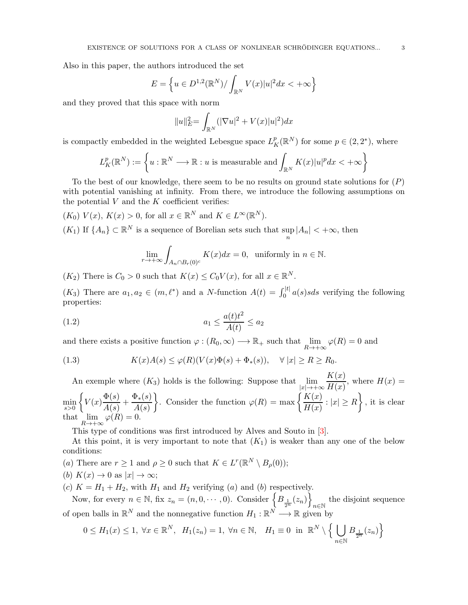<span id="page-2-1"></span>Also in this paper, the authors introduced the set

$$
E = \left\{ u \in D^{1,2}(\mathbb{R}^N) / \int_{\mathbb{R}^N} V(x) |u|^2 dx < +\infty \right\}
$$

and they proved that this space with norm

$$
||u||_{E}^{2} = \int_{\mathbb{R}^{N}} (|\nabla u|^{2} + V(x)|u|^{2}) dx
$$

is compactly embedded in the weighted Lebesgue space  $L_K^p(\mathbb{R}^N)$  for some  $p \in (2, 2^*)$ , where

$$
L_K^p(\mathbb{R}^N) := \left\{ u : \mathbb{R}^N \longrightarrow \mathbb{R} : u \text{ is measurable and } \int_{\mathbb{R}^N} K(x) |u|^p dx < +\infty \right\}
$$

To the best of our knowledge, there seem to be no results on ground state solutions for  $(P)$ with potential vanishing at infinity. From there, we introduce the following assumptions on the potential  $V$  and the  $K$  coefficient verifies:

 $(K_0)$   $V(x)$ ,  $K(x) > 0$ , for all  $x \in \mathbb{R}^N$  and  $K \in L^{\infty}(\mathbb{R}^N)$ .

 $(K_1)$  If  $\{A_n\} \subset \mathbb{R}^N$  is a sequence of Borelian sets such that sup  $\sup_n |A_n| < +\infty$ , then

$$
\lim_{r \to +\infty} \int_{A_n \cap B_r(0)^c} K(x) dx = 0, \text{ uniformly in } n \in \mathbb{N}.
$$

 $(K_2)$  There is  $C_0 > 0$  such that  $K(x) \leq C_0 V(x)$ , for all  $x \in \mathbb{R}^N$ .

 $(K_3)$  There are  $a_1, a_2 \in (m, \ell^*)$  and a N-function  $A(t) = \int_0^{|t|} a(s)sds$  verifying the following properties:

<span id="page-2-0"></span>
$$
(1.2)\qquad \qquad a_1 \le \frac{a(t)t^2}{A(t)} \le a_2
$$

and there exists a positive function  $\varphi : (R_0, \infty) \longrightarrow \mathbb{R}_+$  such that  $\lim_{n \to \infty}$  $R\rightarrow+\infty$  $\varphi(R)=0$  and

(1.3) 
$$
K(x)A(s) \leq \varphi(R)(V(x)\Phi(s) + \Phi_*(s)), \quad \forall |x| \geq R \geq R_0.
$$

An exemple where  $(K_3)$  holds is the following: Suppose that lim  $|x| \rightarrow +\infty$  $K(x)$  $\frac{H(x)}{H(x)}$ , where  $H(x) =$  $\min_{s>0}$  $\big\{V(x) \frac{\Phi(s)}{4} \big\}$  $\frac{\Phi(s)}{A(s)} + \frac{\Phi_*(s)}{A(s)}$  $A(s)$ . Consider the function  $\varphi(R) = \max \left\{ \frac{K(x)}{K(x)} \right\}$  $\frac{K(x)}{H(x)}$ :  $|x| \ge R$ , it is clear that lim  $R\rightarrow+\infty$  $\varphi(R)=0.$ 

This type of conditions was first introduced by Alves and Souto in [\[3\]](#page-25-20).

At this point, it is very important to note that  $(K_1)$  is weaker than any one of the below conditions:

(a) There are  $r \geq 1$  and  $\rho \geq 0$  such that  $K \in L^r(\mathbb{R}^N \setminus B_\rho(0));$  $(L)$   $V(x) \rightarrow 0$  as |x|

(b) 
$$
K(x) \to 0
$$
 as  $|x| \to \infty$ ;

(c)  $K = H_1 + H_2$ , with  $H_1$  and  $H_2$  verifying (a) and (b) respectively.

Now, for every  $n \in \mathbb{N}$ , fix  $z_n = (n, 0, \dots, 0)$ . Consider  $\left\{ B_{\frac{1}{2^n}}(z_n) \right\}$ the disjoint sequence<br> $n \in \mathbb{N}$ of open balls in  $\mathbb{R}^N$  and the nonnegative function  $H_1 : \mathbb{R}^N \longrightarrow \mathbb{R}$  given by

$$
0 \le H_1(x) \le 1, \ \forall x \in \mathbb{R}^N, \ \ H_1(z_n) = 1, \ \forall n \in \mathbb{N}, \ \ H_1 \equiv 0 \ \ \text{in} \ \ \mathbb{R}^N \setminus \left\{ \bigcup_{n \in \mathbb{N}} B_{\frac{1}{2^n}}(z_n) \right\}
$$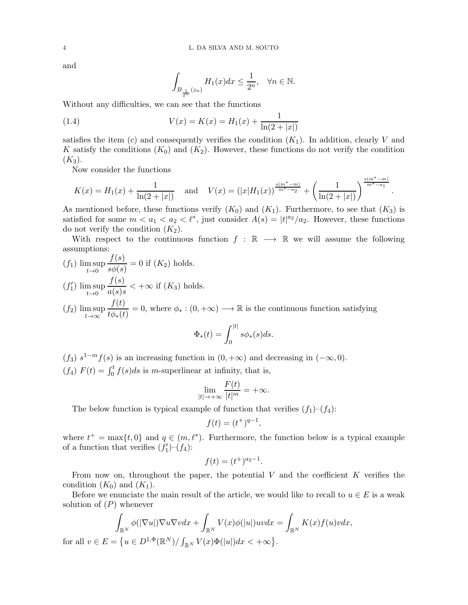and

for

$$
\int_{B_{\frac{1}{2^n}}(z_n)}H_1(x)dx\leq \frac{1}{2^n},\quad \forall n\in\mathbb{N}.
$$

Without any difficulties, we can see that the functions

(1.4) 
$$
V(x) = K(x) = H_1(x) + \frac{1}{\ln(2 + |x|)}
$$

satisfies the item (c) and consequently verifies the condition  $(K_1)$ . In addition, clearly V and K satisfy the conditions  $(K_0)$  and  $(K_2)$ . However, these functions do not verify the condition  $(K_3).$ 

Now consider the functions

$$
K(x) = H_1(x) + \frac{1}{\ln(2+|x|)}
$$
 and  $V(x) = (|x|H_1(x))^{\frac{s(m^*-m)}{m^*-a_2}} + (\frac{1}{\ln(2+|x|)})^{\frac{s(m^*-m)}{m^*-a_1}}$ .

As mentioned before, these functions verify  $(K_0)$  and  $(K_1)$ . Furthermore, to see that  $(K_3)$  is satisfied for some  $m < a_1 < a_2 < l^*$ , just consider  $A(s) = |t|^{a_2}/a_2$ . However, these functions do not verify the condition  $(K_2)$ .

With respect to the continuous function  $f : \mathbb{R} \longrightarrow \mathbb{R}$  we will assume the following assumptions:

$$
(f_1) \limsup_{t \to 0} \frac{f(s)}{s\phi(s)} = 0 \text{ if } (K_2) \text{ holds.}
$$

$$
(f'_1) \limsup_{t \to 0} \frac{f(s)}{a(s)s} < +\infty \text{ if } (K_3) \text{ holds.}
$$

$$
(f_2)
$$
  $\limsup_{t\to\infty} \frac{f(t)}{t\phi_*(t)} = 0$ , where  $\phi_* : (0, +\infty) \longrightarrow \mathbb{R}$  is the continuous function satisfying

$$
\Phi_*(t) = \int_0^{|t|} s \phi_*(s) ds.
$$

(f<sub>3</sub>)  $s^{1-m}f(s)$  is an increasing function in  $(0, +\infty)$  and decreasing in  $(-\infty, 0)$ .  $(f_4)$   $F(t) = \int_0^t f(s)ds$  is m-superlinear at infinity, that is,

$$
\lim_{|t|\to+\infty}\frac{F(t)}{|t|^m}=+\infty.
$$

The below function is typical example of function that verifies  $(f_1)-(f_4)$ :

$$
f(t) = (t^+)^{q-1},
$$

where  $t^+ = \max\{t, 0\}$  and  $q \in (m, \ell^*)$ . Furthermore, the function below is a typical example of a function that verifies  $(f'_1)$ – $(f_4)$ :

$$
f(t) = (t^+)^{a_2 - 1}.
$$

From now on, throughout the paper, the potential  $V$  and the coefficient  $K$  verifies the condition  $(K_0)$  and  $(K_1)$ .

Before we enunciate the main result of the article, we would like to recall to  $u \in E$  is a weak solution of  $(P)$  whenever

$$
\int_{\mathbb{R}^N} \phi(|\nabla u|) \nabla u \nabla v dx + \int_{\mathbb{R}^N} V(x)\phi(|u|)uv dx = \int_{\mathbb{R}^N} K(x)f(u)v dx,
$$
  
all  $v \in E = \{u \in D^{1,\Phi}(\mathbb{R}^N)/ \int_{\mathbb{R}^N} V(x)\Phi(|u|)dx < +\infty \}.$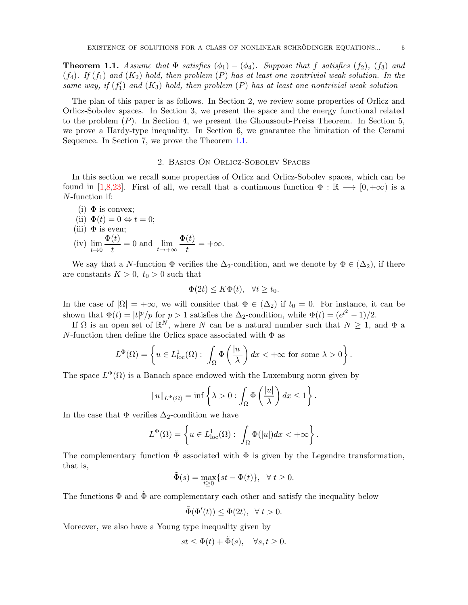<span id="page-4-1"></span><span id="page-4-0"></span>**Theorem 1.1.** Assume that  $\Phi$  satisfies  $(\phi_1) - (\phi_4)$ . Suppose that f satisfies  $(f_2)$ ,  $(f_3)$  and  $(f_4)$ . If  $(f_1)$  and  $(K_2)$  hold, then problem  $(P)$  has at least one nontrivial weak solution. In the same way, if  $(f'_1)$  and  $(K_3)$  hold, then problem  $(P)$  has at least one nontrivial weak solution

The plan of this paper is as follows. In Section 2, we review some properties of Orlicz and Orlicz-Sobolev spaces. In Section 3, we present the space and the energy functional related to the problem  $(P)$ . In Section 4, we present the Ghoussoub-Preiss Theorem. In Section 5, we prove a Hardy-type inequality. In Section 6, we guarantee the limitation of the Cerami Sequence. In Section 7, we prove the Theorem [1.1.](#page-4-0)

## 2. Basics On Orlicz-Sobolev Spaces

In this section we recall some properties of Orlicz and Orlicz-Sobolev spaces, which can be found in [\[1](#page-25-21)[,8,](#page-25-10)[23\]](#page-25-22). First of all, we recall that a continuous function  $\Phi : \mathbb{R} \longrightarrow [0, +\infty)$  is a N-function if:

- (i)  $\Phi$  is convex; (ii)  $\Phi(t) = 0 \Leftrightarrow t = 0;$ (iii)  $\Phi$  is even;  $\Phi(t)$
- (iv) lim  $t\rightarrow 0$  $\frac{v}{t} = 0$  and  $\lim_{t \to +\infty}$  $t\rightarrow+\infty$  $\Phi(t)$  $\frac{v}{t} = +\infty.$

We say that a N-function  $\Phi$  verifies the  $\Delta_2$ -condition, and we denote by  $\Phi \in (\Delta_2)$ , if there are constants  $K > 0$ ,  $t_0 > 0$  such that

$$
\Phi(2t) \le K\Phi(t), \quad \forall t \ge t_0.
$$

In the case of  $|\Omega| = +\infty$ , we will consider that  $\Phi \in (\Delta_2)$  if  $t_0 = 0$ . For instance, it can be shown that  $\Phi(t) = |t|^p / p$  for  $p > 1$  satisfies the  $\Delta_2$ -condition, while  $\Phi(t) = (e^{t^2} - 1)/2$ .

If  $\Omega$  is an open set of  $\mathbb{R}^N$ , where N can be a natural number such that  $N \geq 1$ , and  $\Phi$  a N-function then define the Orlicz space associated with  $\Phi$  as

$$
L^{\Phi}(\Omega) = \left\{ u \in L^{1}_{loc}(\Omega) : \int_{\Omega} \Phi\left(\frac{|u|}{\lambda}\right) dx < +\infty \text{ for some } \lambda > 0 \right\}.
$$

The space  $L^{\Phi}(\Omega)$  is a Banach space endowed with the Luxemburg norm given by

$$
||u||_{L^{\Phi}(\Omega)} = \inf \left\{ \lambda > 0 : \int_{\Omega} \Phi\left(\frac{|u|}{\lambda}\right) dx \le 1 \right\}.
$$

In the case that  $\Phi$  verifies  $\Delta_2$ -condition we have

$$
L^{\Phi}(\Omega) = \left\{ u \in L^{1}_{\text{loc}}(\Omega) : \int_{\Omega} \Phi(|u|) dx < +\infty \right\}.
$$

The complementary function  $\tilde{\Phi}$  associated with  $\Phi$  is given by the Legendre transformation, that is,

$$
\tilde{\Phi}(s) = \max_{t \ge 0} \{ st - \Phi(t) \}, \quad \forall \ t \ge 0.
$$

The functions  $\Phi$  and  $\tilde{\Phi}$  are complementary each other and satisfy the inequality below

$$
\tilde{\Phi}(\Phi'(t)) \le \Phi(2t), \ \ \forall \ t > 0.
$$

Moreover, we also have a Young type inequality given by

$$
st \le \Phi(t) + \tilde{\Phi}(s), \quad \forall s, t \ge 0.
$$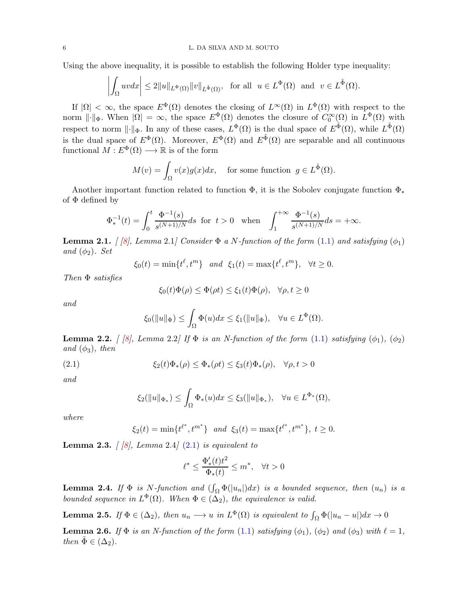<span id="page-5-3"></span>Using the above inequality, it is possible to establish the following Holder type inequality:

$$
\left| \int_{\Omega} uv \, dx \right| \leq 2||u||_{L^{\Phi}(\Omega)} ||v||_{L^{\tilde{\Phi}}(\Omega)}, \text{ for all } u \in L^{\Phi}(\Omega) \text{ and } v \in L^{\tilde{\Phi}}(\Omega).
$$

If  $|\Omega| < \infty$ , the space  $E^{\Phi}(\Omega)$  denotes the closing of  $L^{\infty}(\Omega)$  in  $L^{\Phi}(\Omega)$  with respect to the norm  $\lVert \cdot \rVert_{\Phi}$ . When  $|\Omega| = \infty$ , the space  $E^{\Phi}(\Omega)$  denotes the closure of  $C_0^{\infty}(\Omega)$  in  $L^{\Phi}(\Omega)$  with respect to norm  $\|\cdot\|_{\Phi}$ . In any of these cases,  $L^{\Phi}(\Omega)$  is the dual space of  $E^{\tilde{\Phi}}(\Omega)$ , while  $L^{\tilde{\Phi}}(\Omega)$ is the dual space of  $E^{\Phi}(\Omega)$ . Moreover,  $E^{\Phi}(\Omega)$  and  $E^{\tilde{\Phi}}(\Omega)$  are separable and all continuous functional  $M: E^{\Phi}(\Omega) \longrightarrow \mathbb{R}$  is of the form

$$
M(v) = \int_{\Omega} v(x)g(x)dx, \quad \text{for some function } g \in L^{\tilde{\Phi}}(\Omega).
$$

Another important function related to function  $\Phi$ , it is the Sobolev conjugate function  $\Phi_*$ of  $\Phi$  defined by

$$
\Phi_*^{-1}(t)=\int_0^t \frac{\Phi^{-1}(s)}{s^{(N+1)/N}}ds\;\;\text{for}\;\; t>0\quad \text{when}\quad \int_1^{+\infty} \frac{\Phi^{-1}(s)}{s^{(N+1)/N}}ds=+\infty.
$$

<span id="page-5-1"></span>**Lemma 2.1.** [\[8\]](#page-25-10), Lemma 2.1] Consider  $\Phi$  a N-function of the form [\(1.1\)](#page-0-0) and satisfying  $(\phi_1)$ and  $(\phi_2)$ . Set

$$
\xi_0(t) = \min\{t^{\ell}, t^m\} \quad and \quad \xi_1(t) = \max\{t^{\ell}, t^m\}, \quad \forall t \ge 0.
$$

Then Φ satisfies

$$
\xi_0(t)\Phi(\rho) \le \Phi(\rho t) \le \xi_1(t)\Phi(\rho), \quad \forall \rho, t \ge 0
$$

and

$$
\xi_0(\|u\|_{\Phi}) \leq \int_{\Omega} \Phi(u)dx \leq \xi_1(\|u\|_{\Phi}), \quad \forall u \in L^{\Phi}(\Omega).
$$

<span id="page-5-2"></span>**Lemma 2.2.** [ [\[8\]](#page-25-10), Lemma 2.2] If  $\Phi$  is an N-function of the form [\(1.1\)](#page-0-0) satisfying  $(\phi_1)$ ,  $(\phi_2)$ and  $(\phi_3)$ , then

(2.1) 
$$
\xi_2(t)\Phi_*(\rho) \leq \Phi_*(\rho t) \leq \xi_3(t)\Phi_*(\rho), \quad \forall \rho, t > 0
$$

and

<span id="page-5-0"></span>
$$
\xi_2(||u||_{\Phi_*}) \leq \int_{\Omega} \Phi_*(u) dx \leq \xi_3(||u||_{\Phi_*}), \quad \forall u \in L^{\Phi_*}(\Omega),
$$

where

$$
\xi_2(t) = \min\{t^{\ell^*}, t^{m^*}\}\
$$
 and  $\xi_3(t) = \max\{t^{\ell^*}, t^{m^*}\}, t \ge 0.$ 

**Lemma 2.3.**  $\begin{bmatrix} |\mathcal{S}|, \text{Lemma 2.4} \\ \end{bmatrix}$  [\(2.1\)](#page-5-0) is equivalent to

$$
\ell^* \le \frac{\Phi'_*(t)t^2}{\Phi_*(t)} \le m^*, \quad \forall t > 0
$$

**Lemma 2.4.** If  $\Phi$  is N-function and  $(\int_{\Omega} \Phi(|u_n|)dx)$  is a bounded sequence, then  $(u_n)$  is a bounded sequence in  $L^{\Phi}(\Omega)$ . When  $\Phi \in (\Delta_2)$ , the equivalence is valid.

**Lemma 2.5.** If  $\Phi \in (\Delta_2)$ , then  $u_n \longrightarrow u$  in  $L^{\Phi}(\Omega)$  is equivalent to  $\int_{\Omega} \Phi(|u_n - u|) dx \rightarrow 0$ 

**Lemma 2.6.** If  $\Phi$  is an N-function of the form [\(1.1\)](#page-0-0) satisfying  $(\phi_1)$ ,  $(\phi_2)$  and  $(\phi_3)$  with  $\ell = 1$ , then  $\tilde{\Phi} \in (\Delta_2)$ .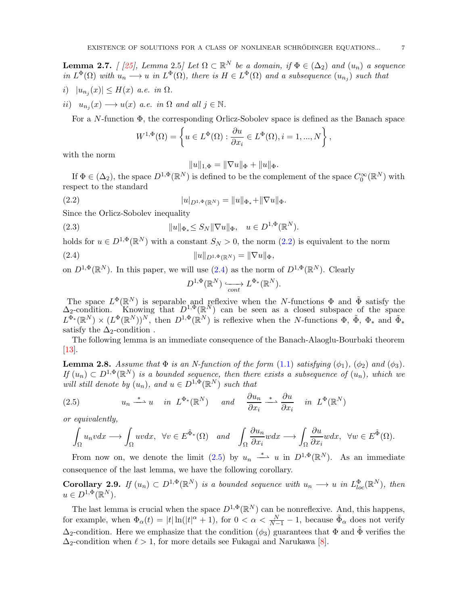<span id="page-6-5"></span>**Lemma 2.7.** [ [\[25\]](#page-25-23), Lemma 2.5] Let  $\Omega \subset \mathbb{R}^N$  be a domain, if  $\Phi \in (\Delta_2)$  and  $(u_n)$  a sequence in  $L^{\Phi}(\Omega)$  with  $u_n \longrightarrow u$  in  $L^{\Phi}(\Omega)$ , there is  $H \in L^{\Phi}(\Omega)$  and a subsequence  $(u_{n_j})$  such that

- i)  $|u_{n_j}(x)| \leq H(x)$  a.e. in  $\Omega$ .
- ii)  $u_{n_j}(x) \longrightarrow u(x)$  a.e. in  $\Omega$  and all  $j \in \mathbb{N}$ .

For a N-function Φ, the corresponding Orlicz-Sobolev space is defined as the Banach space

$$
W^{1,\Phi}(\Omega) = \left\{ u \in L^{\Phi}(\Omega) : \frac{\partial u}{\partial x_i} \in L^{\Phi}(\Omega), i = 1, ..., N \right\},\
$$

with the norm

$$
||u||_{1,\Phi} = ||\nabla u||_{\Phi} + ||u||_{\Phi}.
$$

If  $\Phi \in (\Delta_2)$ , the space  $D^{1,\Phi}(\mathbb{R}^N)$  is defined to be the complement of the space  $C_0^{\infty}(\mathbb{R}^N)$  with respect to the standard

<span id="page-6-0"></span>(2.2) 
$$
|u|_{D^{1,\Phi}(\mathbb{R}^N)} = ||u||_{\Phi_*} + ||\nabla u||_{\Phi}.
$$

Since the Orlicz-Sobolev inequality

(2.3) 
$$
||u||_{\Phi_*} \le S_N ||\nabla u||_{\Phi}, \quad u \in D^{1,\Phi}(\mathbb{R}^N).
$$

holds for  $u \in D^{1,\Phi}(\mathbb{R}^N)$  with a constant  $S_N > 0$ , the norm  $(2.2)$  is equivalent to the norm

<span id="page-6-1"></span>(2.4) 
$$
||u||_{D^{1,\Phi}(\mathbb{R}^N)} = ||\nabla u||_{\Phi},
$$

on  $D^{1,\Phi}(\mathbb{R}^N)$ . In this paper, we will use  $(2.4)$  as the norm of  $D^{1,\Phi}(\mathbb{R}^N)$ . Clearly

$$
D^{1,\Phi}(\mathbb{R}^N) \xrightarrow[cont]{} L^{\Phi_*}(\mathbb{R}^N).
$$

The space  $L^{\Phi}(\mathbb{R}^N)$  is separable and reflexive when the N-functions  $\Phi$  and  $\tilde{\Phi}$  satisfy the  $\Delta_2$ -condition. Knowing that  $D^{1,\Phi}(\mathbb{R}^N)$  can be seen as a closed subspace of the space  $L^{\Phi_*}(\mathbb{R}^N) \times (L^{\Phi}(\mathbb{R}^N))$ <sup>N</sup>, then  $D^{1,\Phi}(\mathbb{R}^N)$  is reflexive when the N-functions  $\Phi$ ,  $\tilde{\Phi}$ ,  $\Phi_*$  and  $\tilde{\Phi}_*$ satisfy the  $\Delta_2$ -condition.

The following lemma is an immediate consequence of the Banach-Alaoglu-Bourbaki theorem  $|13|$ .

<span id="page-6-3"></span>**Lemma 2.8.** Assume that  $\Phi$  is an N-function of the form [\(1.1\)](#page-0-0) satisfying  $(\phi_1)$ ,  $(\phi_2)$  and  $(\phi_3)$ . If  $(u_n) \subset D^{1,\Phi}(\mathbb{R}^N)$  is a bounded sequence, then there exists a subsequence of  $(u_n)$ , which we will still denote by  $(u_n)$ , and  $u \in D^{1,\Phi}(\mathbb{R}^N)$  such that

<span id="page-6-2"></span>(2.5) 
$$
u_n \stackrel{*}{\longrightarrow} u
$$
 in  $L^{\Phi_*}(\mathbb{R}^N)$  and  $\frac{\partial u_n}{\partial x_i} \stackrel{*}{\longrightarrow} \frac{\partial u}{\partial x_i}$  in  $L^{\Phi}(\mathbb{R}^N)$ 

or equivalently,

$$
\int_{\Omega} u_n v dx \longrightarrow \int_{\Omega} u v dx, \ \ \forall v \in E^{\tilde{\Phi}_*}(\Omega) \quad and \quad \int_{\Omega} \frac{\partial u_n}{\partial x_i} w dx \longrightarrow \int_{\Omega} \frac{\partial u}{\partial x_i} w dx, \ \ \forall w \in E^{\tilde{\Phi}}(\Omega).
$$

From now on, we denote the limit [\(2.5\)](#page-6-2) by  $u_n \stackrel{*}{\longrightarrow} u$  in  $D^{1,\Phi}(\mathbb{R}^N)$ . As an immediate consequence of the last lemma, we have the following corollary.

<span id="page-6-4"></span>**Corollary 2.9.** If  $(u_n) \subset D^{1,\Phi}(\mathbb{R}^N)$  is a bounded sequence with  $u_n \longrightarrow u$  in  $L^{\Phi}_{loc}(\mathbb{R}^N)$ , then  $u \in D^{1,\Phi}(\mathbb{R}^N)$ .

The last lemma is crucial when the space  $D^{1,\Phi}(\mathbb{R}^N)$  can be nonreflexive. And, this happens, for example, when  $\Phi_{\alpha}(t) = |t| \ln(|t|^{\alpha} + 1)$ , for  $0 < \alpha < \frac{N}{N-1} - 1$ , because  $\tilde{\Phi}_{\alpha}$  does not verify  $\Delta_2$ -condition. Here we emphasize that the condition  $(\phi_3)$  guarantees that  $\Phi$  and  $\tilde{\Phi}$  verifies the  $\Delta_2$ -condition when  $\ell > 1$ , for more details see Fukagai and Narukawa [\[8\]](#page-25-10).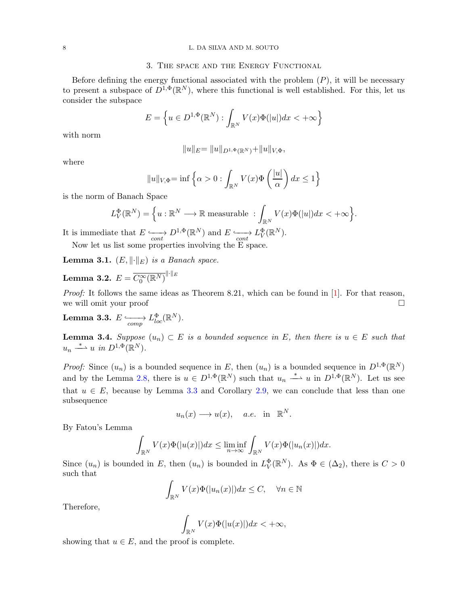### <span id="page-7-2"></span>8 L. DA SILVA AND M. SOUTO

## 3. The space and the Energy Functional

Before defining the energy functional associated with the problem  $(P)$ , it will be necessary to present a subspace of  $D^{1,\Phi}(\mathbb{R}^N)$ , where this functional is well established. For this, let us consider the subspace

$$
E = \left\{ u \in D^{1,\Phi}(\mathbb{R}^N) : \int_{\mathbb{R}^N} V(x)\Phi(|u|)dx < +\infty \right\}
$$

with norm

$$
||u||_E = ||u||_{D^{1,\Phi}(\mathbb{R}^N)} + ||u||_{V,\Phi},
$$

where

$$
||u||_{V,\Phi} = \inf \left\{ \alpha > 0 : \int_{\mathbb{R}^N} V(x) \Phi\left(\frac{|u|}{\alpha}\right) dx \le 1 \right\}
$$

is the norm of Banach Space

$$
L_V^{\Phi}(\mathbb{R}^N) = \Big\{ u : \mathbb{R}^N \longrightarrow \mathbb{R} \text{ measurable} \; : \int_{\mathbb{R}^N} V(x) \Phi(|u|) dx < +\infty \Big\}.
$$

It is immediate that  $E \nightharpoonup_{cont} D^{1,\Phi}(\mathbb{R}^N)$  and  $E \nightharpoonup_{cont} L^{\Phi}_V(\mathbb{R}^N)$ .

Now let us list some properties involving the E space.

**Lemma 3.1.**  $(E, \|\cdot\|_E)$  is a Banach space.

**Lemma 3.2.** 
$$
E = \overline{C_0^{\infty}(\mathbb{R}^N)}^{\|\cdot\|_E}
$$

*Proof:* It follows the same ideas as Theorem 8.21, which can be found in  $[1]$ . For that reason, we will omit your proof

<span id="page-7-0"></span> $\textbf{Lemma 3.3.} \,\, E \xrightarrow[comp]{\hspace{0.5cm}} L_{loc}^{\Phi}(\mathbb{R}^{N}).$ 

<span id="page-7-1"></span>**Lemma 3.4.** Suppose  $(u_n) \subset E$  is a bounded sequence in E, then there is  $u \in E$  such that  $u_n \stackrel{*}{\longrightarrow} u$  in  $D^{1,\Phi}(\mathbb{R}^N)$ .

*Proof:* Since  $(u_n)$  is a bounded sequence in E, then  $(u_n)$  is a bounded sequence in  $D^{1,\Phi}(\mathbb{R}^N)$ and by the Lemma [2.8,](#page-6-3) there is  $u \in D^{1,\Phi}(\mathbb{R}^N)$  such that  $u_n \stackrel{*}{\longrightarrow} u$  in  $D^{1,\Phi}(\mathbb{R}^N)$ . Let us see that  $u \in E$ , because by Lemma [3.3](#page-7-0) and Corollary [2.9,](#page-6-4) we can conclude that less than one subsequence

$$
u_n(x) \longrightarrow u(x), \quad a.e. \text{ in } \mathbb{R}^N.
$$

By Fatou's Lemma

$$
\int_{\mathbb{R}^N} V(x)\Phi(|u(x)|)dx \le \liminf_{n\to\infty} \int_{\mathbb{R}^N} V(x)\Phi(|u_n(x)|)dx.
$$

Since  $(u_n)$  is bounded in E, then  $(u_n)$  is bounded in  $L^{\Phi}_V(\mathbb{R}^N)$ . As  $\Phi \in (\Delta_2)$ , there is  $C > 0$ such that

$$
\int_{\mathbb{R}^N} V(x)\Phi(|u_n(x)|)dx \le C, \quad \forall n \in \mathbb{N}
$$

Therefore,

$$
\int_{\mathbb{R}^N} V(x)\Phi(|u(x)|)dx < +\infty,
$$

showing that  $u \in E$ , and the proof is complete.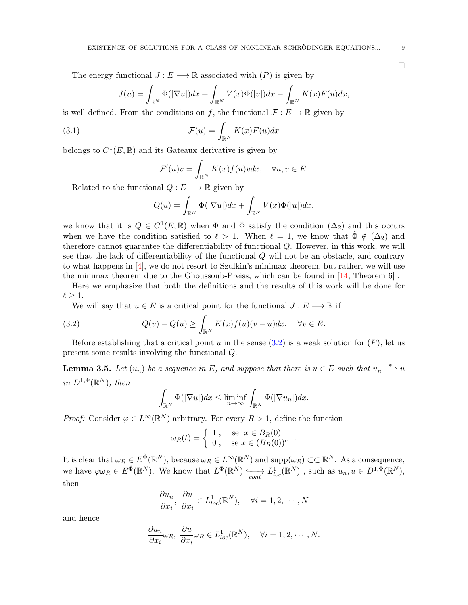<span id="page-8-2"></span>The energy functional  $J : E \longrightarrow \mathbb{R}$  associated with  $(P)$  is given by

$$
J(u) = \int_{\mathbb{R}^N} \Phi(|\nabla u|) dx + \int_{\mathbb{R}^N} V(x) \Phi(|u|) dx - \int_{\mathbb{R}^N} K(x) F(u) dx,
$$

is well defined. From the conditions on f, the functional  $\mathcal{F}: E \to \mathbb{R}$  given by

(3.1) 
$$
\mathcal{F}(u) = \int_{\mathbb{R}^N} K(x) F(u) dx
$$

belongs to  $C^1(E,\mathbb{R})$  and its Gateaux derivative is given by

$$
\mathcal{F}'(u)v = \int_{\mathbb{R}^N} K(x)f(u)v dx, \quad \forall u, v \in E.
$$

Related to the functional  $Q: E \longrightarrow \mathbb{R}$  given by

$$
Q(u) = \int_{\mathbb{R}^N} \Phi(|\nabla u|) dx + \int_{\mathbb{R}^N} V(x) \Phi(|u|) dx,
$$

we know that it is  $Q \in C^1(E, \mathbb{R})$  when  $\Phi$  and  $\tilde{\Phi}$  satisfy the condition  $(\Delta_2)$  and this occurs when we have the condition satisfied to  $\ell > 1$ . When  $\ell = 1$ , we know that  $\tilde{\Phi} \notin (\Delta_2)$  and therefore cannot guarantee the differentiability of functional Q. However, in this work, we will see that the lack of differentiability of the functional Q will not be an obstacle, and contrary to what happens in  $[4]$ , we do not resort to Szulkin's minimax theorem, but rather, we will use the minimax theorem due to the Ghoussoub-Preiss, which can be found in [\[14,](#page-25-25) Theorem 6] .

Here we emphasize that both the definitions and the results of this work will be done for  $\ell > 1$ .

We will say that  $u \in E$  is a critical point for the functional  $J : E \longrightarrow \mathbb{R}$  if

<span id="page-8-0"></span>(3.2) 
$$
Q(v) - Q(u) \ge \int_{\mathbb{R}^N} K(x) f(u)(v - u) dx, \quad \forall v \in E.
$$

Before establishing that a critical point u in the sense  $(3.2)$  is a weak solution for  $(P)$ , let us present some results involving the functional Q.

<span id="page-8-1"></span>**Lemma 3.5.** Let  $(u_n)$  be a sequence in E, and suppose that there is  $u \in E$  such that  $u_n \stackrel{*}{\longrightarrow} u$ in  $D^{1,\Phi}(\mathbb{R}^N)$ , then

$$
\int_{\mathbb{R}^N} \Phi(|\nabla u|) dx \le \liminf_{n \to \infty} \int_{\mathbb{R}^N} \Phi(|\nabla u_n|) dx.
$$

*Proof:* Consider  $\varphi \in L^{\infty}(\mathbb{R}^N)$  arbitrary. For every  $R > 1$ , define the function

$$
\omega_R(t) = \begin{cases} 1, & \text{se } x \in B_R(0) \\ 0, & \text{se } x \in (B_R(0))^c \end{cases}
$$

.

It is clear that  $\omega_R \in E^{\tilde{\Phi}}(\mathbb{R}^N)$ , because  $\omega_R \in L^{\infty}(\mathbb{R}^N)$  and  $\text{supp}(\omega_R) \subset\subset \mathbb{R}^N$ . As a consequence, we have  $\varphi \omega_R \in E^{\tilde{\Phi}}(\mathbb{R}^N)$ . We know that  $L^{\Phi}(\mathbb{R}^N) \longrightarrow L^1_{loc}(\mathbb{R}^N)$ , such as  $u_n, u \in D^{1,\Phi}(\mathbb{R}^N)$ , then

$$
\frac{\partial u_n}{\partial x_i}, \frac{\partial u}{\partial x_i} \in L^1_{loc}(\mathbb{R}^N), \quad \forall i = 1, 2, \cdots, N
$$

and hence

$$
\frac{\partial u_n}{\partial x_i}\omega_R, \ \frac{\partial u}{\partial x_i}\omega_R \in L^1_{loc}(\mathbb{R}^N), \quad \forall i = 1, 2, \cdots, N.
$$

 $\Box$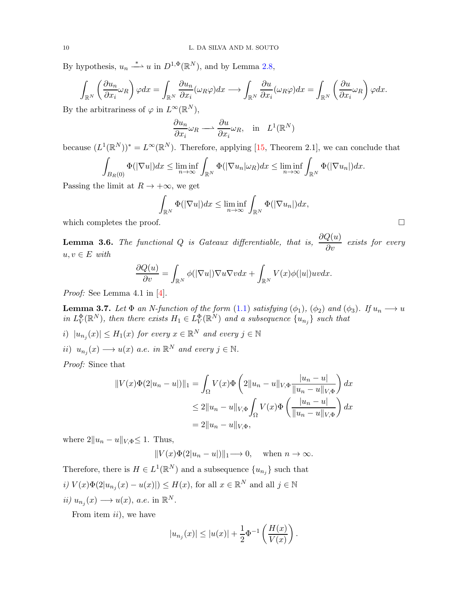<span id="page-9-1"></span>By hypothesis,  $u_n \stackrel{*}{\longrightarrow} u$  in  $D^{1,\Phi}(\mathbb{R}^N)$ , and by Lemma [2.8,](#page-6-3)

$$
\int_{\mathbb{R}^N} \left( \frac{\partial u_n}{\partial x_i} \omega_R \right) \varphi dx = \int_{\mathbb{R}^N} \frac{\partial u_n}{\partial x_i} (\omega_R \varphi) dx \longrightarrow \int_{\mathbb{R}^N} \frac{\partial u}{\partial x_i} (\omega_R \varphi) dx = \int_{\mathbb{R}^N} \left( \frac{\partial u}{\partial x_i} \omega_R \right) \varphi dx.
$$

By the arbitrariness of  $\varphi$  in  $L^{\infty}(\mathbb{R}^{N}),$ 

$$
\frac{\partial u_n}{\partial x_i} \omega_R \longrightarrow \frac{\partial u}{\partial x_i} \omega_R, \text{ in } L^1(\mathbb{R}^N)
$$

because  $(L^1(\mathbb{R}^N))^* = L^\infty(\mathbb{R}^N)$ . Therefore, applying [\[15,](#page-25-26) Theorem 2.1], we can conclude that

$$
\int_{B_R(0)} \Phi(|\nabla u|) dx \le \liminf_{n \to \infty} \int_{\mathbb{R}^N} \Phi(|\nabla u_n| \omega_R) dx \le \liminf_{n \to \infty} \int_{\mathbb{R}^N} \Phi(|\nabla u_n|) dx.
$$

Passing the limit at  $R \to +\infty$ , we get

$$
\int_{\mathbb{R}^N} \Phi(|\nabla u|) dx \le \liminf_{n \to \infty} \int_{\mathbb{R}^N} \Phi(|\nabla u_n|) dx,
$$

which completes the proof.  $\Box$ 

**Lemma 3.6.** The functional Q is Gateaux differentiable, that is,  $\frac{\partial Q(u)}{\partial v}$  exists for every  $u, v \in E$  with

$$
\frac{\partial Q(u)}{\partial v} = \int_{\mathbb{R}^N} \phi(|\nabla u|) \nabla u \nabla v dx + \int_{\mathbb{R}^N} V(x) \phi(|u|) uv dx.
$$

Proof: See Lemma 4.1 in [\[4\]](#page-25-18).

<span id="page-9-0"></span>**Lemma 3.7.** Let  $\Phi$  an N-function of the form  $(1.1)$  satisfying  $(\phi_1)$ ,  $(\phi_2)$  and  $(\phi_3)$ . If  $u_n \longrightarrow u$ in  $L^{\Phi}_V(\mathbb{R}^N)$ , then there exists  $H_1 \in L^{\Phi}_V(\mathbb{R}^N)$  and a subsequence  $\{u_{n_j}\}$  such that

- i)  $|u_{n_j}(x)| \leq H_1(x)$  for every  $x \in \mathbb{R}^N$  and every  $j \in \mathbb{N}$ ii)  $u_{n_j}(x) \longrightarrow u(x)$  a.e. in  $\mathbb{R}^N$  and every  $j \in \mathbb{N}$ .
- 

Proof: Since that

$$
||V(x)\Phi(2|u_n - u|)||_1 = \int_{\Omega} V(x)\Phi\left(2||u_n - u||_{V,\Phi}\frac{|u_n - u|}{||u_n - u||_{V,\Phi}}\right) dx
$$
  
\n
$$
\leq 2||u_n - u||_{V,\Phi}\int_{\Omega} V(x)\Phi\left(\frac{|u_n - u|}{||u_n - u||_{V,\Phi}}\right) dx
$$
  
\n
$$
= 2||u_n - u||_{V,\Phi},
$$

where  $2||u_n - u||_{V,\Phi} \leq 1$ . Thus,

 $||V(x)\Phi(2|u_n-u|)||_1 \longrightarrow 0$ , when  $n \to \infty$ .

Therefore, there is  $H \in L^1(\mathbb{R}^N)$  and a subsequence  $\{u_{n_j}\}$  such that  $i) V(x)\Phi(2|u_{n_j}(x) - u(x)|) \le H(x)$ , for all  $x \in \mathbb{R}^N$  and all  $j \in \mathbb{N}$  $ii) u_{n_j}(x) \longrightarrow u(x), \ a.e. \text{ in } \mathbb{R}^N.$ 

From item  $ii$ , we have

$$
|u_{n_j}(x)| \leq |u(x)| + \frac{1}{2}\Phi^{-1}\left(\frac{H(x)}{V(x)}\right).
$$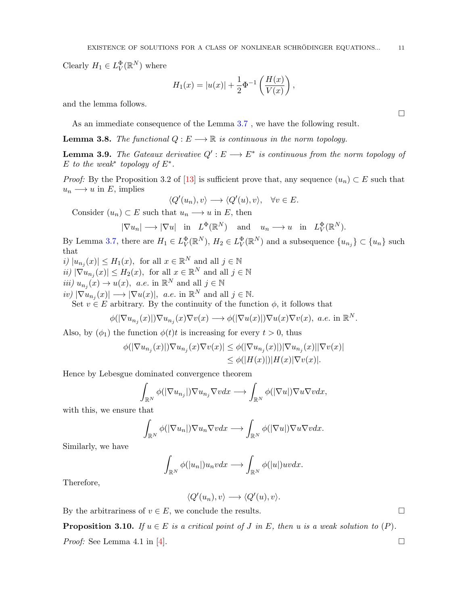<span id="page-10-1"></span>Clearly  $H_1 \in L^{\Phi}_V(\mathbb{R}^N)$  where

$$
H_1(x) = |u(x)| + \frac{1}{2}\Phi^{-1}\left(\frac{H(x)}{V(x)}\right),\,
$$

and the lemma follows.

As an immediate consequence of the Lemma [3.7](#page-9-0) , we have the following result.

**Lemma 3.8.** The functional  $Q: E \longrightarrow \mathbb{R}$  is continuous in the norm topology.

**Lemma 3.9.** The Gateaux derivative  $Q' : E \longrightarrow E^*$  is continuous from the norm topology of  $E$  to the weak\* topology of  $E^*$ .

*Proof:* By the Proposition 3.2 of [\[13\]](#page-25-24) is sufficient prove that, any sequence  $(u_n) \subset E$  such that  $u_n \longrightarrow u$  in E, implies

$$
\langle Q'(u_n), v \rangle \longrightarrow \langle Q'(u), v \rangle, \quad \forall v \in E.
$$

Consider  $(u_n) \subset E$  such that  $u_n \longrightarrow u$  in E, then

$$
|\nabla u_n| \longrightarrow |\nabla u|
$$
 in  $L^{\Phi}(\mathbb{R}^N)$  and  $u_n \longrightarrow u$  in  $L^{\Phi}_V(\mathbb{R}^N)$ .

By Lemma [3.7,](#page-9-0) there are  $H_1 \in L^{\Phi}_V(\mathbb{R}^N)$ ,  $H_2 \in L^{\Phi}_V(\mathbb{R}^N)$  and a subsequence  $\{u_{n_j}\} \subset \{u_n\}$  such that

- $i) |u_{n_j}(x)| \leq H_1(x)$ , for all  $x \in \mathbb{R}^N$  and all  $j \in \mathbb{N}$
- $ii) |\nabla u_{n_j}(x)| \leq H_2(x)$ , for all  $x \in \mathbb{R}^N$  and all  $j \in \mathbb{N}$
- $iii) u_{n_j}(x) \to u(x), \ a.e. \text{ in } \mathbb{R}^N \text{ and all } j \in \mathbb{N}$
- $iv) |\nabla u_{n_j}(x)| \longrightarrow |\nabla u(x)|, \ \ a.e. \text{ in } \mathbb{R}^N \text{ and all } j \in \mathbb{N}.$

Set  $v \in E$  arbitrary. By the continuity of the function  $\phi$ , it follows that

$$
\phi(|\nabla u_{n_j}(x)|)\nabla u_{n_j}(x)\nabla v(x) \longrightarrow \phi(|\nabla u(x)|)\nabla u(x)\nabla v(x), \ a.e. \text{ in } \mathbb{R}^N.
$$

Also, by  $(\phi_1)$  the function  $\phi(t)t$  is increasing for every  $t > 0$ , thus

$$
\phi(|\nabla u_{n_j}(x)|)\nabla u_{n_j}(x)\nabla v(x)| \leq \phi(|\nabla u_{n_j}(x)|)|\nabla u_{n_j}(x)||\nabla v(x)|
$$
  

$$
\leq \phi(|H(x)|)|H(x)|\nabla v(x)|.
$$

Hence by Lebesgue dominated convergence theorem

$$
\int_{\mathbb{R}^N} \phi(|\nabla u_{n_j}|) \nabla u_{n_j} \nabla v dx \longrightarrow \int_{\mathbb{R}^N} \phi(|\nabla u|) \nabla u \nabla v dx,
$$

with this, we ensure that

$$
\int_{\mathbb{R}^N} \phi(|\nabla u_n|) \nabla u_n \nabla v dx \longrightarrow \int_{\mathbb{R}^N} \phi(|\nabla u|) \nabla u \nabla v dx.
$$

Similarly, we have

$$
\int_{\mathbb{R}^N} \phi(|u_n|) u_n v dx \longrightarrow \int_{\mathbb{R}^N} \phi(|u|) u v dx.
$$

Therefore,

$$
\langle Q'(u_n), v \rangle \longrightarrow \langle Q'(u), v \rangle.
$$

By the arbitrariness of  $v \in E$ , we conclude the results.

<span id="page-10-0"></span>**Proposition 3.10.** If  $u \in E$  is a critical point of J in E, then u is a weak solution to  $(P)$ .

*Proof:* See Lemma 4.1 in [\[4\]](#page-25-18).

 $\Box$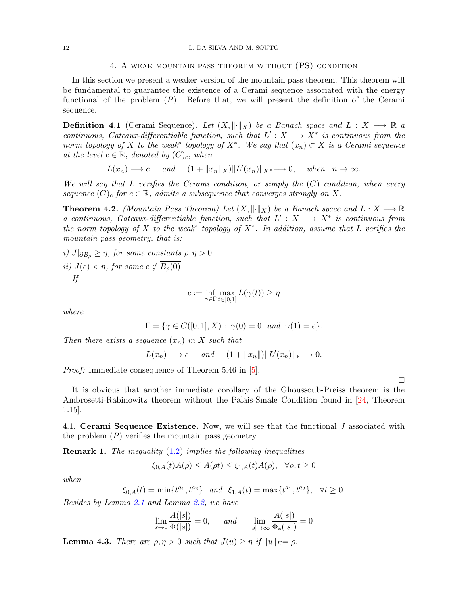## 4. A weak mountain pass theorem without (PS) condition

<span id="page-11-2"></span>In this section we present a weaker version of the mountain pass theorem. This theorem will be fundamental to guarantee the existence of a Cerami sequence associated with the energy functional of the problem  $(P)$ . Before that, we will present the definition of the Cerami sequence.

**Definition 4.1** (Cerami Sequence). Let  $(X, \|\cdot\|_X)$  be a Banach space and  $L : X \longrightarrow \mathbb{R}$  a continuous, Gateaux-differentiable function, such that  $L': X \longrightarrow X^*$  is continuous from the norm topology of X to the weak\* topology of  $X^*$ . We say that  $(x_n) \subset X$  is a Cerami sequence at the level  $c \in \mathbb{R}$ , denoted by  $(C)_c$ , when

 $L(x_n) \longrightarrow c$  and  $(1 + ||x_n||_X) ||L'(x_n)||_{X^*} \longrightarrow 0$ , when  $n \to \infty$ .

We will say that L verifies the Cerami condition, or simply the  $(C)$  condition, when every sequence  $(C)_c$  for  $c \in \mathbb{R}$ , admits a subsequence that converges strongly on X.

<span id="page-11-1"></span>**Theorem 4.2.** (Mountain Pass Theorem) Let  $(X, \|\cdot\|_X)$  be a Banach space and  $L : X \longrightarrow \mathbb{R}$ a continuous, Gateaux-differentiable function, such that  $L': X \longrightarrow X^*$  is continuous from the norm topology of X to the weak\* topology of  $X^*$ . In addition, assume that L verifies the mountain pass geometry, that is:

i)  $J|_{\partial B_0} \geq \eta$ , for some constants  $\rho, \eta > 0$ ii)  $J(e) < \eta$ , for some  $e \notin \overline{B_o(0)}$ If

$$
c := \inf_{\gamma \in \Gamma} \max_{t \in [0,1]} L(\gamma(t)) \ge \eta
$$

where

$$
\Gamma = \{ \gamma \in C([0,1], X) : \gamma(0) = 0 \text{ and } \gamma(1) = e \}.
$$

Then there exists a sequence  $(x_n)$  in X such that

$$
L(x_n) \longrightarrow c
$$
 and  $(1 + ||x_n||)||L'(x_n)||_* \longrightarrow 0.$ 

*Proof:* Immediate consequence of Theorem 5.46 in [\[5\]](#page-25-27).

It is obvious that another immediate corollary of the Ghoussoub-Preiss theorem is the Ambrosetti-Rabinowitz theorem without the Palais-Smale Condition found in [\[24,](#page-25-28) Theorem 1.15].

 $\Box$ 

4.1. Cerami Sequence Existence. Now, we will see that the functional  $J$  associated with the problem  $(P)$  verifies the mountain pass geometry.

<span id="page-11-0"></span>**Remark 1.** The inequality  $(1.2)$  implies the following inequalities

$$
\xi_{0,A}(t)A(\rho) \le A(\rho t) \le \xi_{1,A}(t)A(\rho), \quad \forall \rho, t \ge 0
$$

when

$$
\xi_{0,A}(t) = \min\{t^{a_1}, t^{a_2}\} \quad and \quad \xi_{1,A}(t) = \max\{t^{a_1}, t^{a_2}\}, \quad \forall t \ge 0.
$$

Besides by Lemma [2.1](#page-5-1) and Lemma [2.2,](#page-5-2) we have

$$
\lim_{s \to 0} \frac{A(|s|)}{\Phi(|s|)} = 0, \quad \text{and} \quad \lim_{|s| \to \infty} \frac{A(|s|)}{\Phi_*(|s|)} = 0
$$

 $\lambda$ ( $\lambda$ )  $\lambda$ 

**Lemma 4.3.** There are  $\rho, \eta > 0$  such that  $J(u) \geq \eta$  if  $||u||_E = \rho$ .

 $\overline{AB}$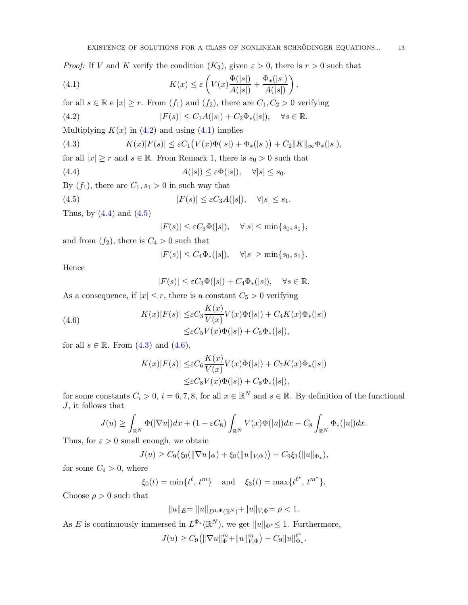*Proof:* If V and K verify the condition  $(K_3)$ , given  $\varepsilon > 0$ , there is  $r > 0$  such that

<span id="page-12-1"></span>(4.1) 
$$
K(x) \leq \varepsilon \left( V(x) \frac{\Phi(|s|)}{A(|s|)} + \frac{\Phi_*(|s|)}{A(|s|)} \right),
$$

for all  $s \in \mathbb{R}$  e  $|x| \geq r$ . From  $(f_1)$  and  $(f_2)$ , there are  $C_1, C_2 > 0$  verifying

<span id="page-12-0"></span>(4.2) 
$$
|F(s)| \leq C_1 A(|s|) + C_2 \Phi_*(|s|), \quad \forall s \in \mathbb{R}.
$$

Multiplying  $K(x)$  in [\(4.2\)](#page-12-0) and using [\(4.1\)](#page-12-1) implies

<span id="page-12-4"></span>(4.3) 
$$
K(x)|F(s)| \leq \varepsilon C_1(V(x)\Phi(|s|) + \Phi_*(|s|)) + C_2||K||_{\infty}\Phi_*(|s|),
$$

for all  $|x| \geq r$  and  $s \in \mathbb{R}$ . From Remark [1,](#page-11-0) there is  $s_0 > 0$  such that

<span id="page-12-2"></span>(4.4) 
$$
A(|s|) \leq \varepsilon \Phi(|s|), \quad \forall |s| \leq s_0.
$$

By  $(f_1)$ , there are  $C_1, s_1 > 0$  in such way that

<span id="page-12-3"></span>(4.5) 
$$
|F(s)| \leq \varepsilon C_3 A(|s|), \quad \forall |s| \leq s_1.
$$

Thus, by  $(4.4)$  and  $(4.5)$ 

 $|F(s)| \leq \varepsilon C_3 \Phi(|s|), \quad \forall |s| \leq \min\{s_0, s_1\},\$ 

and from  $(f_2)$ , there is  $C_4 > 0$  such that

$$
|F(s)| \leq C_4 \Phi_*(|s|), \quad \forall |s| \geq \min\{s_0, s_1\}.
$$

Hence

$$
|F(s)| \le \varepsilon C_3 \Phi(|s|) + C_4 \Phi_*(|s|), \quad \forall s \in \mathbb{R}.
$$

As a consequence, if  $|x| \leq r$ , there is a constant  $C_5 > 0$  verifying

<span id="page-12-5"></span>(4.6) 
$$
K(x)|F(s)| \leq \varepsilon C_3 \frac{K(x)}{V(x)} V(x) \Phi(|s|) + C_4 K(x) \Phi_*(|s|)
$$

$$
\leq \varepsilon C_5 V(x) \Phi(|s|) + C_5 \Phi_*(|s|),
$$

for all  $s \in \mathbb{R}$ . From  $(4.3)$  and  $(4.6)$ ,

$$
K(x)|F(s)| \leq \varepsilon C_6 \frac{K(x)}{V(x)} V(x) \Phi(|s|) + C_7 K(x) \Phi_*(|s|)
$$
  

$$
\leq \varepsilon C_8 V(x) \Phi(|s|) + C_8 \Phi_*(|s|),
$$

for some constants  $C_i > 0$ ,  $i = 6, 7, 8$ , for all  $x \in \mathbb{R}^N$  and  $s \in \mathbb{R}$ . By definition of the functional J, it follows that

$$
J(u) \ge \int_{\mathbb{R}^N} \Phi(|\nabla u|) dx + (1 - \varepsilon C_8) \int_{\mathbb{R}^N} V(x) \Phi(|u|) dx - C_8 \int_{\mathbb{R}^N} \Phi_*(|u|) dx.
$$

Thus, for  $\varepsilon > 0$  small enough, we obtain

$$
J(u) \geq C_9(\xi_0(||\nabla u||_{\Phi}) + \xi_0(||u||_{V,\Phi})) - C_9\xi_3(||u||_{\Phi_*}),
$$

for some  $C_9 > 0$ , where

$$
\xi_0(t) = \min\{t^{\ell}, t^m\}
$$
 and  $\xi_3(t) = \max\{t^{\ell^*}, t^{m^*}\}.$ 

Choose  $\rho > 0$  such that

$$
||u||_E = ||u||_{D^{1,\Phi}(\mathbb{R}^N)} + ||u||_{V,\Phi} = \rho < 1.
$$

As E is continuously immersed in  $L^{\Phi_*(\mathbb{R}^N)}$ , we get  $||u||_{\Phi^*} \leq 1$ . Furthermore,

$$
J(u) \geq C_9(||\nabla u||_{\Phi}^m + ||u||_{V,\Phi}^m) - C_9 ||u||_{\Phi_*}^{\ell^*}.
$$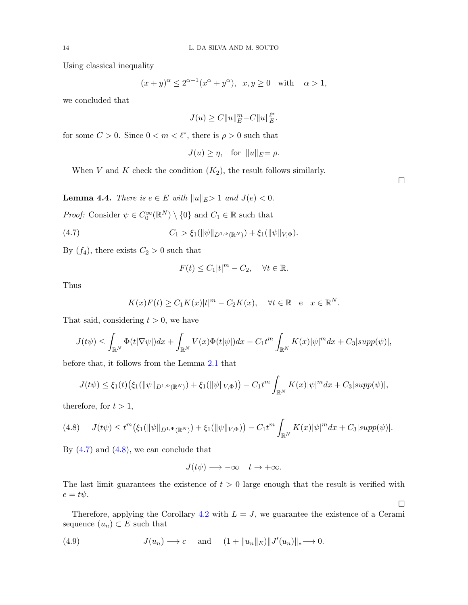Using classical inequality

$$
(x+y)^{\alpha} \le 2^{\alpha-1}(x^{\alpha}+y^{\alpha}), x, y \ge 0
$$
 with  $\alpha > 1$ ,

we concluded that

$$
J(u) \ge C \|u\|_E^m - C \|u\|_E^{\ell^*}.
$$

for some  $C > 0$ . Since  $0 < m < \ell^*$ , there is  $\rho > 0$  such that

$$
J(u) \ge \eta, \quad \text{for } \|u\|_E = \rho.
$$

When V and K check the condition  $(K_2)$ , the result follows similarly.

**Lemma 4.4.** There is  $e \in E$  with  $||u||_E > 1$  and  $J(e) < 0$ .

*Proof:* Consider  $\psi \in C_0^{\infty}(\mathbb{R}^N) \setminus \{0\}$  and  $C_1 \in \mathbb{R}$  such that

<span id="page-13-0"></span>(4.7) 
$$
C_1 > \xi_1(\|\psi\|_{D^{1,\Phi}(\mathbb{R}^N)}) + \xi_1(\|\psi\|_{V,\Phi}).
$$

By  $(f_4)$ , there exists  $C_2 > 0$  such that

$$
F(t) \le C_1 |t|^m - C_2, \quad \forall t \in \mathbb{R}.
$$

Thus

$$
K(x)F(t) \ge C_1K(x)|t|^m - C_2K(x), \quad \forall t \in \mathbb{R} \quad e \quad x \in \mathbb{R}^N.
$$

That said, considering  $t > 0$ , we have

$$
J(t\psi) \leq \int_{\mathbb{R}^N} \Phi(t|\nabla \psi|) dx + \int_{\mathbb{R}^N} V(x) \Phi(t|\psi|) dx - C_1 t^m \int_{\mathbb{R}^N} K(x) |\psi|^m dx + C_3 |supp(\psi)|,
$$

before that, it follows from the Lemma [2.1](#page-5-1) that

$$
J(t\psi) \leq \xi_1(t) \big( \xi_1(||\psi||_{D^{1,\Phi}(\mathbb{R}^N)}) + \xi_1(||\psi||_{V,\Phi}) \big) - C_1 t^m \int_{\mathbb{R}^N} K(x) |\psi|^m dx + C_3 |supp(\psi)|,
$$

therefore, for  $t > 1$ ,

<span id="page-13-1"></span>
$$
(4.8) \tJ(t\psi) \leq t^m \big(\xi_1(\|\psi\|_{D^{1,\Phi}(\mathbb{R}^N)}) + \xi_1(\|\psi\|_{V,\Phi})\big) - C_1 t^m \int_{\mathbb{R}^N} K(x)|\psi|^m dx + C_3 |supp(\psi)|.
$$

By  $(4.7)$  and  $(4.8)$ , we can conclude that

$$
J(t\psi) \longrightarrow -\infty \quad t \to +\infty.
$$

The last limit guarantees the existence of  $t > 0$  large enough that the result is verified with  $e = t\psi.$ 

Therefore, applying the Corollary [4.2](#page-11-1) with  $L = J$ , we guarantee the existence of a Cerami sequence  $(u_n) \subset E$  such that

<span id="page-13-2"></span>(4.9) 
$$
J(u_n) \longrightarrow c \quad \text{and} \quad (1 + \|u_n\|_E) \|J'(u_n)\|_* \longrightarrow 0.
$$

 $\Box$ 

 $\Box$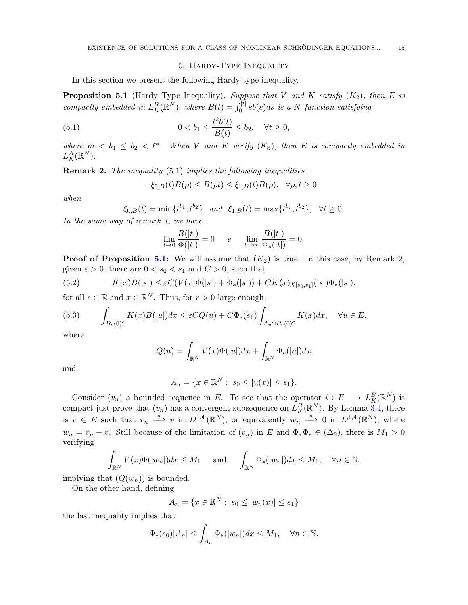## <span id="page-14-0"></span>5. Hardy-Type Inequality

In this section we present the following Hardy-type inequality.

<span id="page-14-1"></span>**Proposition 5.1** (Hardy Type Inequality). Suppose that V and K satisfy  $(K_2)$ , then E is compactly embedded in  $L_K^B(\mathbb{R}^N)$ , where  $B(t) = \int_0^{|t|} s b(s) ds$  is a N-function satisfying

(5.1) 
$$
0 < b_1 \le \frac{t^2 b(t)}{B(t)} \le b_2, \quad \forall t \ge 0,
$$

where  $m < b_1 \leq b_2 < \ell^*$ . When V and K verify  $(K_3)$ , then E is compactly embedded in  $L^A_K(\mathbb{R}^N)$ .

<span id="page-14-2"></span>**Remark 2.** The inequality  $(5.1)$  implies the following inequalities

$$
\xi_{0,B}(t)B(\rho) \le B(\rho t) \le \xi_{1,B}(t)B(\rho), \quad \forall \rho, t \ge 0
$$

when

$$
\xi_{0,B}(t) = \min\{t^{b_1}, t^{b_2}\}\
$$
 and  $\xi_{1,B}(t) = \max\{t^{b_1}, t^{b_2}\},\ \forall t \ge 0.$ 

In the same way of remark [1,](#page-11-0) we have

$$
\lim_{t \to 0} \frac{B(|t|)}{\Phi(|t|)} = 0 \qquad e \qquad \lim_{t \to \infty} \frac{B(|t|)}{\Phi_*(|t|)} = 0.
$$

**Proof of Proposition [5.1:](#page-14-1)** We will assume that  $(K_2)$  is true. In this case, by Remark [2,](#page-14-2) given  $\varepsilon > 0$ , there are  $0 < s_0 < s_1$  and  $C > 0$ , such that

(5.2) 
$$
K(x)B(|s|) \leq \varepsilon C(V(x)\Phi(|s|) + \Phi_*(|s|)) + CK(x)\chi_{[s_0,s_1]}(|s|)\Phi_*(|s|),
$$

for all  $s \in \mathbb{R}$  and  $x \in \mathbb{R}^N$ . Thus, for  $r > 0$  large enough,

<span id="page-14-3"></span>(5.3) 
$$
\int_{B_r(0)^c} K(x)B(|u|)dx \leq \varepsilon CQ(u) + C\Phi_*(s_1)\int_{A_u \cap B_r(0)^c} K(x)dx, \quad \forall u \in E,
$$

where

$$
Q(u) = \int_{\mathbb{R}^N} V(x)\Phi(|u|)dx + \int_{\mathbb{R}^N} \Phi_*(|u|)dx
$$

and

$$
A_u = \{ x \in \mathbb{R}^N : s_0 \le |u(x)| \le s_1 \}.
$$

Consider  $(v_n)$  a bounded sequence in E. To see that the operator  $i: E \longrightarrow L_K^B(\mathbb{R}^N)$  is compact just prove that  $(v_n)$  has a convergent subsequence on  $L_K^B(\mathbb{R}^N)$ . By Lemma [3.4,](#page-7-1) there is  $v \in E$  such that  $v_n \stackrel{*}{\longrightarrow} v$  in  $D^{1,\Phi}(\mathbb{R}^N)$ , or equivalently  $w_n \stackrel{*}{\longrightarrow} 0$  in  $D^{1,\Phi}(\mathbb{R}^N)$ , where  $w_n = v_n - v$ . Still because of the limitation of  $(v_n)$  in E and  $\Phi, \Phi_* \in (\Delta_2)$ , there is  $M_1 > 0$ verifying

$$
\int_{\mathbb{R}^N} V(x) \Phi(|w_n|) dx \le M_1 \quad \text{and} \quad \int_{\mathbb{R}^N} \Phi_*(|w_n|) dx \le M_1, \quad \forall n \in \mathbb{N},
$$

implying that  $(Q(w_n))$  is bounded.

On the other hand, defining

$$
A_n = \{ x \in \mathbb{R}^N : s_0 \le |w_n(x)| \le s_1 \}
$$

the last inequality implies that

$$
\Phi_*(s_0)|A_n| \le \int_{A_n} \Phi_*(|w_n|) dx \le M_1, \quad \forall n \in \mathbb{N}.
$$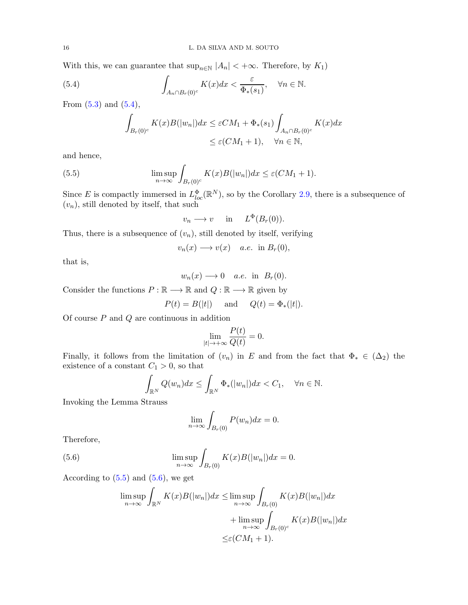With this, we can guarantee that  $\sup_{n\in\mathbb{N}} |A_n| < +\infty$ . Therefore, by  $K_1$ )

<span id="page-15-0"></span>(5.4) 
$$
\int_{A_n \cap B_r(0)^c} K(x) dx < \frac{\varepsilon}{\Phi_*(s_1)}, \quad \forall n \in \mathbb{N}.
$$

From  $(5.3)$  and  $(5.4)$ ,

$$
\int_{B_r(0)^c} K(x)B(|w_n|)dx \leq \varepsilon CM_1 + \Phi_*(s_1) \int_{A_n \cap B_r(0)^c} K(x)dx
$$
  

$$
\leq \varepsilon (CM_1 + 1), \quad \forall n \in \mathbb{N},
$$

and hence,

<span id="page-15-1"></span>(5.5) 
$$
\limsup_{n \to \infty} \int_{B_r(0)^c} K(x)B(|w_n|)dx \leq \varepsilon (CM_1 + 1).
$$

Since E is compactly immersed in  $L^{\Phi}_{loc}(\mathbb{R}^N)$ , so by the Corollary [2.9,](#page-6-4) there is a subsequence of  $(v_n)$ , still denoted by itself, that such

$$
v_n \longrightarrow v \quad \text{in} \quad L^{\Phi}(B_r(0)).
$$

Thus, there is a subsequence of  $(v_n)$ , still denoted by itself, verifying

$$
v_n(x) \longrightarrow v(x) \quad a.e. \text{ in } B_r(0),
$$

that is,

$$
w_n(x) \longrightarrow 0
$$
 a.e. in  $B_r(0)$ .

Consider the functions  $P : \mathbb{R} \longrightarrow \mathbb{R}$  and  $Q : \mathbb{R} \longrightarrow \mathbb{R}$  given by

$$
P(t) = B(|t|) \quad \text{and} \quad Q(t) = \Phi_*(|t|).
$$

Of course  $P$  and  $Q$  are continuous in addition

$$
\lim_{|t|\to+\infty}\frac{P(t)}{Q(t)}=0.
$$

Finally, it follows from the limitation of  $(v_n)$  in E and from the fact that  $\Phi_* \in (\Delta_2)$  the existence of a constant  ${\cal C}_1>0,$  so that

$$
\int_{\mathbb{R}^N} Q(w_n) dx \le \int_{\mathbb{R}^N} \Phi_*(|w_n|) dx < C_1, \quad \forall n \in \mathbb{N}.
$$

Invoking the Lemma Strauss

$$
\lim_{n \to \infty} \int_{B_r(0)} P(w_n) dx = 0.
$$

Therefore,

<span id="page-15-2"></span>(5.6) 
$$
\limsup_{n \to \infty} \int_{B_r(0)} K(x)B(|w_n|)dx = 0.
$$

According to  $(5.5)$  and  $(5.6)$ , we get

$$
\limsup_{n \to \infty} \int_{\mathbb{R}^N} K(x)B(|w_n|)dx \le \limsup_{n \to \infty} \int_{B_r(0)} K(x)B(|w_n|)dx
$$
  
+ 
$$
\limsup_{n \to \infty} \int_{B_r(0)^c} K(x)B(|w_n|)dx
$$
  

$$
\leq \varepsilon (CM_1 + 1).
$$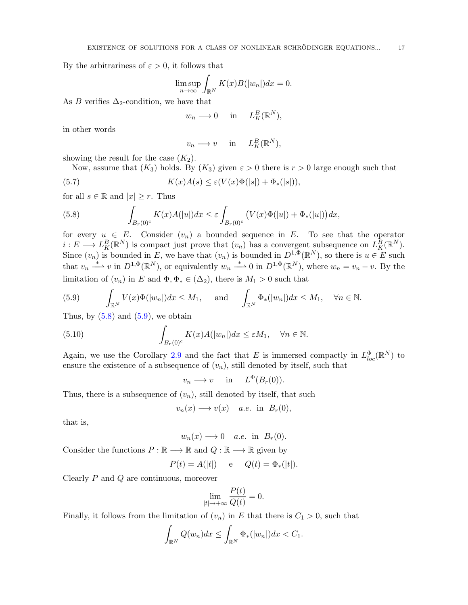By the arbitrariness of  $\varepsilon > 0$ , it follows that

$$
\limsup_{n \to \infty} \int_{\mathbb{R}^N} K(x)B(|w_n|)dx = 0.
$$

As B verifies  $\Delta_2$ -condition, we have that

$$
w_n \longrightarrow 0
$$
 in  $L_K^B(\mathbb{R}^N)$ ,

in other words

$$
v_n \longrightarrow v \quad \text{ in } \quad L_K^B(\mathbb{R}^N),
$$

showing the result for the case  $(K_2)$ .

Now, assume that  $(K_3)$  holds. By  $(K_3)$  given  $\varepsilon > 0$  there is  $r > 0$  large enough such that

(5.7) 
$$
K(x)A(s) \leq \varepsilon(V(x)\Phi(|s|) + \Phi_*(|s|)),
$$

for all  $s \in \mathbb{R}$  and  $|x| \geq r$ . Thus

<span id="page-16-0"></span>(5.8) 
$$
\int_{B_r(0)^c} K(x)A(|u|)dx \leq \varepsilon \int_{B_r(0)^c} (V(x)\Phi(|u|) + \Phi_*(|u|))dx,
$$

for every  $u \in E$ . Consider  $(v_n)$  a bounded sequence in E. To see that the operator  $i: E \longrightarrow L_K^B(\mathbb{R}^N)$  is compact just prove that  $(v_n)$  has a convergent subsequence on  $L_K^B(\mathbb{R}^N)$ . Since  $(v_n)$  is bounded in E, we have that  $(v_n)$  is bounded in  $D^{1,\Phi}(\mathbb{R}^N)$ , so there is  $u \in E$  such that  $v_n \stackrel{*}{\longrightarrow} v$  in  $D^{1,\Phi}(\mathbb{R}^N)$ , or equivalently  $w_n \stackrel{*}{\longrightarrow} 0$  in  $D^{1,\Phi}(\mathbb{R}^N)$ , where  $w_n = v_n - v$ . By the limitation of  $(v_n)$  in E and  $\Phi, \Phi_* \in (\Delta_2)$ , there is  $M_1 > 0$  such that

<span id="page-16-1"></span>(5.9) 
$$
\int_{\mathbb{R}^N} V(x) \Phi(|w_n|) dx \leq M_1, \quad \text{and} \quad \int_{\mathbb{R}^N} \Phi_*(|w_n|) dx \leq M_1, \quad \forall n \in \mathbb{N}.
$$

Thus, by  $(5.8)$  and  $(5.9)$ , we obtain

<span id="page-16-2"></span>(5.10) 
$$
\int_{B_r(0)^c} K(x)A(|w_n|)dx \leq \varepsilon M_1, \quad \forall n \in \mathbb{N}.
$$

Again, we use the Corollary [2.9](#page-6-4) and the fact that E is immersed compactly in  $L_{loc}^{\Phi}(\mathbb{R}^N)$  to ensure the existence of a subsequence of  $(v_n)$ , still denoted by itself, such that

$$
v_n \longrightarrow v \quad \text{in} \quad L^{\Phi}(B_r(0)).
$$

Thus, there is a subsequence of  $(v_n)$ , still denoted by itself, that such

$$
v_n(x) \longrightarrow v(x) \quad a.e. \text{ in } B_r(0),
$$

that is,

 $w_n(x) \longrightarrow 0$  a.e. in  $B_r(0)$ .

Consider the functions  $P : \mathbb{R} \longrightarrow \mathbb{R}$  and  $Q : \mathbb{R} \longrightarrow \mathbb{R}$  given by

$$
P(t) = A(|t|)
$$
 e  $Q(t) = \Phi_*(|t|).$ 

Clearly P and Q are continuous, moreover

$$
\lim_{|t|\to+\infty}\frac{P(t)}{Q(t)}=0.
$$

Finally, it follows from the limitation of  $(v_n)$  in E that there is  $C_1 > 0$ , such that

$$
\int_{\mathbb{R}^N} Q(w_n) dx \leq \int_{\mathbb{R}^N} \Phi_*(|w_n|) dx < C_1.
$$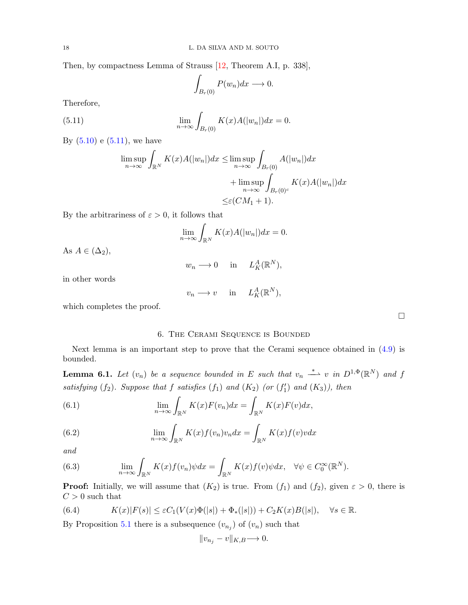Then, by compactness Lemma of Strauss [\[12,](#page-25-29) Theorem A.I, p. 338],

$$
\int_{B_r(0)} P(w_n) dx \longrightarrow 0.
$$

Therefore,

<span id="page-17-0"></span>(5.11) 
$$
\lim_{n \to \infty} \int_{B_r(0)} K(x)A(|w_n|)dx = 0.
$$

By  $(5.10)$  e  $(5.11)$ , we have

$$
\limsup_{n \to \infty} \int_{\mathbb{R}^N} K(x)A(|w_n|)dx \le \limsup_{n \to \infty} \int_{B_r(0)} A(|w_n|)dx
$$
  
+ 
$$
\limsup_{n \to \infty} \int_{B_r(0)^c} K(x)A(|w_n|)dx
$$
  

$$
\leq \varepsilon (CM_1 + 1).
$$

By the arbitrariness of  $\varepsilon > 0$ , it follows that

$$
\lim_{n \to \infty} \int_{\mathbb{R}^N} K(x)A(|w_n|)dx = 0.
$$

As  $A \in (\Delta_2)$ ,

$$
w_n \longrightarrow 0 \quad \text{in} \quad L_K^A(\mathbb{R}^N),
$$

in other words

$$
v_n \longrightarrow v \quad \text{ in } \quad L_K^A(\mathbb{R}^N),
$$

which completes the proof.

## 6. The Cerami Sequence is Bounded

Next lemma is an important step to prove that the Cerami sequence obtained in [\(4.9\)](#page-13-2) is bounded.

<span id="page-17-2"></span>**Lemma 6.1.** Let  $(v_n)$  be a sequence bounded in E such that  $v_n \stackrel{*}{\longrightarrow} v$  in  $D^{1,\Phi}(\mathbb{R}^N)$  and f satisfying  $(f_2)$ . Suppose that f satisfies  $(f_1)$  and  $(K_2)$  (or  $(f'_1)$  and  $(K_3)$ ), then

(6.1) 
$$
\lim_{n \to \infty} \int_{\mathbb{R}^N} K(x) F(v_n) dx = \int_{\mathbb{R}^N} K(x) F(v) dx,
$$

(6.2) 
$$
\lim_{n \to \infty} \int_{\mathbb{R}^N} K(x) f(v_n) v_n dx = \int_{\mathbb{R}^N} K(x) f(v) v dx
$$

and

(6.3) 
$$
\lim_{n \to \infty} \int_{\mathbb{R}^N} K(x) f(v_n) \psi dx = \int_{\mathbb{R}^N} K(x) f(v) \psi dx, \quad \forall \psi \in C_0^{\infty}(\mathbb{R}^N).
$$

**Proof:** Initially, we will assume that  $(K_2)$  is true. From  $(f_1)$  and  $(f_2)$ , given  $\varepsilon > 0$ , there is  $C > 0$  such that

<span id="page-17-1"></span>(6.4) 
$$
K(x)|F(s)| \leq \varepsilon C_1(V(x)\Phi(|s|) + \Phi_*(|s|)) + C_2K(x)B(|s|), \quad \forall s \in \mathbb{R}.
$$

By Proposition [5.1](#page-14-1) there is a subsequence  $(v_{n_j})$  of  $(v_n)$  such that

$$
||v_{n_j} - v||_{K,B} \longrightarrow 0.
$$

<span id="page-17-3"></span>

 $\Box$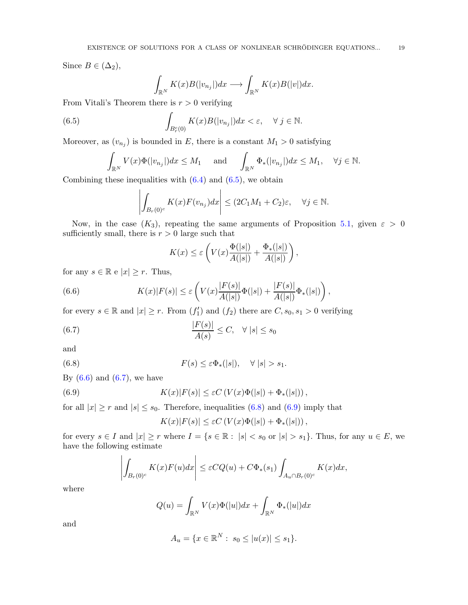Since  $B \in (\Delta_2)$ ,

$$
\int_{\mathbb{R}^N} K(x)B(|v_{n_j}|)dx \longrightarrow \int_{\mathbb{R}^N} K(x)B(|v|)dx.
$$

From Vitali's Theorem there is  $r > 0$  verifying

<span id="page-18-0"></span>(6.5) 
$$
\int_{B_r^c(0)} K(x)B(|v_{n_j}|)dx < \varepsilon, \quad \forall \ j \in \mathbb{N}.
$$

Moreover, as  $(v_{n_j})$  is bounded in E, there is a constant  $M_1 > 0$  satisfying

$$
\int_{\mathbb{R}^N} V(x) \Phi(|v_{n_j}|) dx \le M_1 \quad \text{and} \quad \int_{\mathbb{R}^N} \Phi_*(|v_{n_j}|) dx \le M_1, \quad \forall j \in \mathbb{N}.
$$

Combining these inequalities with  $(6.4)$  and  $(6.5)$ , we obtain

$$
\left| \int_{B_r(0)^c} K(x) F(v_{n_j}) dx \right| \le (2C_1M_1 + C_2)\varepsilon, \quad \forall j \in \mathbb{N}.
$$

Now, in the case  $(K_3)$ , repeating the same arguments of Proposition [5.1,](#page-14-1) given  $\varepsilon > 0$ sufficiently small, there is  $r > 0$  large such that

$$
K(x) \le \varepsilon \left( V(x) \frac{\Phi(|s|)}{A(|s|)} + \frac{\Phi_*(|s|)}{A(|s|)} \right),
$$

for any  $s \in \mathbb{R}$  e  $|x| \geq r$ . Thus,

<span id="page-18-1"></span>(6.6) 
$$
K(x)|F(s)| \leq \varepsilon \left(V(x)\frac{|F(s)|}{A(|s|)}\Phi(|s|) + \frac{|F(s)|}{A(|s|)}\Phi_*(|s|)\right),
$$

for every  $s \in \mathbb{R}$  and  $|x| \geq r$ . From  $(f'_1)$  and  $(f_2)$  there are  $C, s_0, s_1 > 0$  verifying

<span id="page-18-2"></span>(6.7) 
$$
\frac{|F(s)|}{A(s)} \leq C, \quad \forall |s| \leq s_0
$$

and

<span id="page-18-3"></span>(6.8) 
$$
F(s) \leq \varepsilon \Phi_{*}(|s|), \quad \forall |s| > s_{1}.
$$

By  $(6.6)$  and  $(6.7)$ , we have

<span id="page-18-4"></span>(6.9) 
$$
K(x)|F(s)| \leq \varepsilon C \left( V(x)\Phi(|s|) + \Phi_*(|s|) \right),
$$

for all  $|x| \ge r$  and  $|s| \le s_0$ . Therefore, inequalities [\(6.8\)](#page-18-3) and [\(6.9\)](#page-18-4) imply that

$$
K(x)|F(s)| \leq \varepsilon C\left(V(x)\Phi(|s|) + \Phi_*(|s|)\right),
$$

for every  $s \in I$  and  $|x| \geq r$  where  $I = \{s \in \mathbb{R} : |s| < s_0 \text{ or } |s| > s_1\}.$  Thus, for any  $u \in E$ , we have the following estimate

$$
\left| \int_{B_r(0)^c} K(x)F(u)dx \right| \leq \varepsilon CQ(u) + C\Phi_*(s_1) \int_{A_u \cap B_r(0)^c} K(x)dx,
$$

where

$$
Q(u) = \int_{\mathbb{R}^N} V(x)\Phi(|u|)dx + \int_{\mathbb{R}^N} \Phi_*(|u|)dx
$$

and

$$
A_u = \{ x \in \mathbb{R}^N : s_0 \le |u(x)| \le s_1 \}.
$$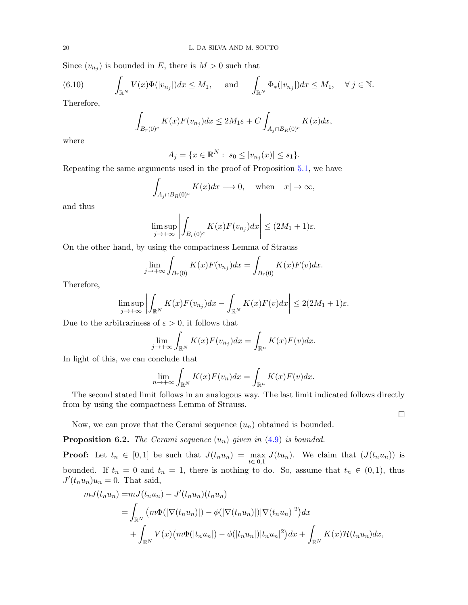Since  $(v_{n_j})$  is bounded in E, there is  $M > 0$  such that

(6.10) 
$$
\int_{\mathbb{R}^N} V(x) \Phi(|v_{n_j}|) dx \leq M_1, \quad \text{and} \quad \int_{\mathbb{R}^N} \Phi_*(|v_{n_j}|) dx \leq M_1, \quad \forall j \in \mathbb{N}.
$$

Therefore,

$$
\int_{B_r(0)^c} K(x)F(v_{n_j})dx \le 2M_1\varepsilon + C\int_{A_j\cap B_R(0)^c} K(x)dx,
$$

where

$$
A_j = \{ x \in \mathbb{R}^N : s_0 \le |v_{n_j}(x)| \le s_1 \}.
$$

Repeating the same arguments used in the proof of Proposition [5.1,](#page-14-1) we have

$$
\int_{A_j \cap B_R(0)^c} K(x)dx \longrightarrow 0, \quad \text{when} \quad |x| \to \infty,
$$

and thus

$$
\limsup_{j \to +\infty} \left| \int_{B_r(0)^c} K(x) F(v_{n_j}) dx \right| \le (2M_1 + 1)\varepsilon.
$$

On the other hand, by using the compactness Lemma of Strauss

$$
\lim_{j \to +\infty} \int_{B_r(0)} K(x)F(v_{n_j})dx = \int_{B_r(0)} K(x)F(v)dx.
$$

Therefore,

$$
\limsup_{j \to +\infty} \left| \int_{\mathbb{R}^N} K(x) F(v_{n_j}) dx - \int_{\mathbb{R}^N} K(x) F(v) dx \right| \leq 2(2M_1 + 1)\varepsilon.
$$

Due to the arbitrariness of  $\varepsilon > 0$ , it follows that

$$
\lim_{j \to +\infty} \int_{\mathbb{R}^N} K(x) F(v_{n_j}) dx = \int_{\mathbb{R}^n} K(x) F(v) dx.
$$

In light of this, we can conclude that

$$
\lim_{n \to +\infty} \int_{\mathbb{R}^N} K(x) F(v_n) dx = \int_{\mathbb{R}^n} K(x) F(v) dx.
$$

The second stated limit follows in an analogous way. The last limit indicated follows directly from by using the compactness Lemma of Strauss.

 $\Box$ 

Now, we can prove that the Cerami sequence  $(u_n)$  obtained is bounded.

**Proposition 6.2.** The Cerami sequence  $(u_n)$  given in  $(4.9)$  is bounded.

**Proof:** Let  $t_n \in [0,1]$  be such that  $J(t_n u_n) = \max_{i=1}^{\infty}$  $t \in [0,1]$  $J(tu_n)$ . We claim that  $(J(t_nu_n))$  is bounded. If  $t_n = 0$  and  $t_n = 1$ , there is nothing to do. So, assume that  $t_n \in (0,1)$ , thus  $J'(t_n u_n)u_n=0$ . That said,

$$
mJ(t_nu_n) = mJ(t_nu_n) - J'(t_nu_n)(t_nu_n)
$$
  
= 
$$
\int_{\mathbb{R}^N} (m\Phi(|\nabla(t_nu_n)|) - \phi(|\nabla(t_nu_n)|)|\nabla(t_nu_n)|^2) dx
$$
  
+ 
$$
\int_{\mathbb{R}^N} V(x) (m\Phi(|t_nu_n|) - \phi(|t_nu_n|)|t_nu_n|^2) dx + \int_{\mathbb{R}^N} K(x) \mathcal{H}(t_nu_n) dx,
$$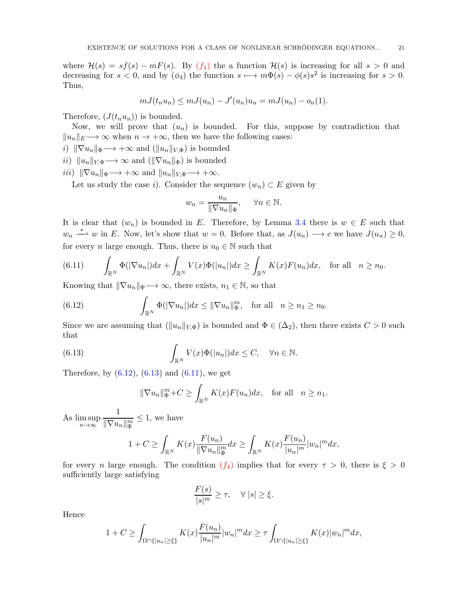where  $\mathcal{H}(s) = sf(s) - mF(s)$ . By  $(f_4)$  the a function  $\mathcal{H}(s)$  is increasing for all  $s > 0$  and decreasing for  $s < 0$ , and by  $(\phi_4)$  the function  $s \mapsto m\Phi(s) - \phi(s)s^2$  is increasing for  $s > 0$ . Thus,

$$
mJ(t_nu_n) \leq mJ(u_n) - J'(u_n)u_n = mJ(u_n) - o_n(1).
$$

Therefore,  $(J(t_n u_n))$  is bounded.

Now, we will prove that  $(u_n)$  is bounded. For this, suppose by contradiction that  $||u_n||_E \rightarrow \infty$  when  $n \rightarrow +\infty$ , then we have the following cases:

- i)  $\|\nabla u_n\|_{\Phi}\longrightarrow +\infty$  and  $(\|u_n\|_{V,\Phi})$  is bounded
- ii)  $||u_n||_{V,\Phi} \longrightarrow \infty$  and  $(||\nabla u_n||_{\Phi})$  is bounded
- iii)  $\|\nabla u_n\|_{\Phi}\longrightarrow +\infty$  and  $\|u_n\|_{V,\Phi}\longrightarrow +\infty$ .

Let us study the case i). Consider the sequence  $(w_n) \subset E$  given by

$$
w_n = \frac{u_n}{\|\nabla u_n\|_{\Phi}}, \quad \forall n \in \mathbb{N}.
$$

It is clear that  $(w_n)$  is bounded in E. Therefore, by Lemma [3.4](#page-7-1) there is  $w \in E$  such that  $w_n \stackrel{*}{\longrightarrow} w$  in E. Now, let's show that  $w = 0$ . Before that, as  $J(u_n) \longrightarrow c$  we have  $J(u_n) \geq 0$ , for every *n* large enough. Thus, there is  $n_0 \in \mathbb{N}$  such that

<span id="page-20-2"></span>(6.11) 
$$
\int_{\mathbb{R}^N} \Phi(|\nabla u_n|) dx + \int_{\mathbb{R}^N} V(x) \Phi(|u_n|) dx \ge \int_{\mathbb{R}^N} K(x) F(u_n) dx, \text{ for all } n \ge n_0.
$$

Knowing that  $\|\nabla u_n\|_{\Phi}\longrightarrow \infty$ , there exists,  $n_1 \in \mathbb{N}$ , so that

<span id="page-20-0"></span>(6.12) 
$$
\int_{\mathbb{R}^N} \Phi(|\nabla u_n|) dx \leq ||\nabla u_n||_{\Phi}^m, \text{ for all } n \geq n_1 \geq n_0.
$$

Since we are assuming that  $(\|u_n\|_{V,\Phi})$  is bounded and  $\Phi \in (\Delta_2)$ , then there exists  $C > 0$  such that

<span id="page-20-1"></span>(6.13) 
$$
\int_{\mathbb{R}^N} V(x) \Phi(|u_n|) dx \leq C, \quad \forall n \in \mathbb{N}.
$$

Therefore, by  $(6.12)$ ,  $(6.13)$  and  $(6.11)$ , we get

$$
\|\nabla u_n\|_{\Phi}^m + C \ge \int_{\mathbb{R}^N} K(x)F(u_n)dx, \text{ for all } n \ge n_1.
$$

As lim sup  $n\rightarrow\infty$ 1  $\|\nabla u_n\|_{\Phi}^m$  $\leq 1$ , we have

$$
1 + C \ge \int_{\mathbb{R}^N} K(x) \frac{F(u_n)}{\|\nabla u_n\|_{\Phi}^m} dx \ge \int_{\mathbb{R}^N} K(x) \frac{F(u_n)}{|u_n|^m} |u_n|^m dx,
$$

for every n large enough. The condition  $(f_4)$  implies that for every  $\tau > 0$ , there is  $\xi > 0$ sufficiently large satisfying

$$
\frac{F(s)}{|s|^m} \ge \tau, \quad \forall |s| \ge \xi.
$$

Hence

$$
1 + C \ge \int_{\Omega \cap \{|u_n| \ge \xi\}} K(x) \frac{F(u_n)}{|u_n|^m} |w_n|^m dx \ge \tau \int_{\Omega \cap \{|u_n| \ge \xi\}} K(x) |w_n|^m dx,
$$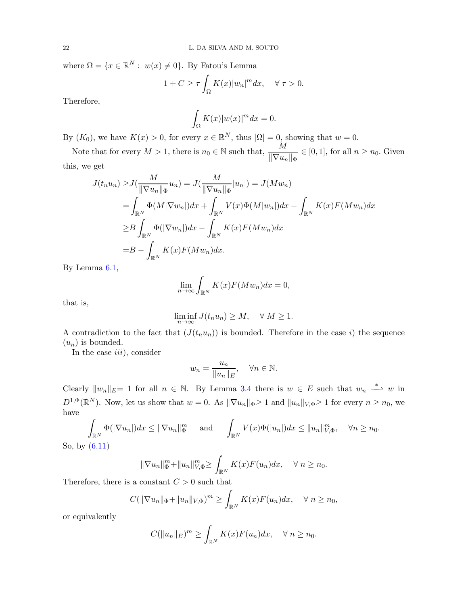where  $\Omega = \{x \in \mathbb{R}^N : w(x) \neq 0\}$ . By Fatou's Lemma

$$
1 + C \ge \tau \int_{\Omega} K(x) |w_n|^m dx, \quad \forall \tau > 0.
$$

Therefore,

$$
\int_{\Omega} K(x)|w(x)|^m dx = 0.
$$

By  $(K_0)$ , we have  $K(x) > 0$ , for every  $x \in \mathbb{R}^N$ , thus  $|\Omega| = 0$ , showing that  $w = 0$ .

Note that for every  $M > 1$ , there is  $n_0 \in \mathbb{N}$  such that,  $\frac{M}{\|\nabla u_n\|_{\Phi}} \in [0, 1]$ , for all  $n \ge n_0$ . Given this, we get

$$
J(t_n u_n) \geq J(\frac{M}{\|\nabla u_n\|_{\Phi}} u_n) = J(\frac{M}{\|\nabla u_n\|_{\Phi}} |u_n|) = J(Mw_n)
$$
  
\n
$$
= \int_{\mathbb{R}^N} \Phi(M|\nabla w_n|) dx + \int_{\mathbb{R}^N} V(x) \Phi(M|w_n|) dx - \int_{\mathbb{R}^N} K(x) F(Mw_n) dx
$$
  
\n
$$
\geq B \int_{\mathbb{R}^N} \Phi(|\nabla w_n|) dx - \int_{\mathbb{R}^N} K(x) F(Mw_n) dx
$$
  
\n
$$
= B - \int_{\mathbb{R}^N} K(x) F(Mw_n) dx.
$$

By Lemma [6.1,](#page-17-2)

$$
\lim_{n \to \infty} \int_{\mathbb{R}^N} K(x) F(Mw_n) dx = 0,
$$

that is,

$$
\liminf_{n \to \infty} J(t_n u_n) \ge M, \quad \forall M \ge 1.
$$

A contradiction to the fact that  $(J(t_nu_n))$  is bounded. Therefore in the case i) the sequence  $(u_n)$  is bounded.

In the case  $iii$ , consider

$$
w_n = \frac{u_n}{\|u_n\|_E}, \quad \forall n \in \mathbb{N}.
$$

Clearly  $||w_n||_E= 1$  for all  $n \in \mathbb{N}$ . By Lemma [3.4](#page-7-1) there is  $w \in E$  such that  $w_n \stackrel{*}{\longrightarrow} w$  in  $D^{1,\Phi}(\mathbb{R}^N)$ . Now, let us show that  $w=0$ . As  $\|\nabla u_n\|_{\Phi}\geq 1$  and  $\|u_n\|_{V,\Phi}\geq 1$  for every  $n\geq n_0$ , we have

$$
\int_{\mathbb{R}^N} \Phi(|\nabla u_n|) dx \le ||\nabla u_n||_{\Phi}^m \quad \text{and} \quad \int_{\mathbb{R}^N} V(x) \Phi(|u_n|) dx \le ||u_n||_{V,\Phi}^m, \quad \forall n \ge n_0.
$$

So, by [\(6.11\)](#page-20-2)

$$
\|\nabla u_n\|_{\Phi}^m + \|u_n\|_{V,\Phi}^m \ge \int_{\mathbb{R}^N} K(x)F(u_n)dx, \quad \forall n \ge n_0.
$$

Therefore, there is a constant  $C > 0$  such that

$$
C(||\nabla u_n||_{\Phi} + ||u_n||_{V,\Phi})^m \ge \int_{\mathbb{R}^N} K(x)F(u_n)dx, \quad \forall n \ge n_0,
$$

or equivalently

$$
C(||u_n||_E)^m \ge \int_{\mathbb{R}^N} K(x)F(u_n)dx, \quad \forall n \ge n_0.
$$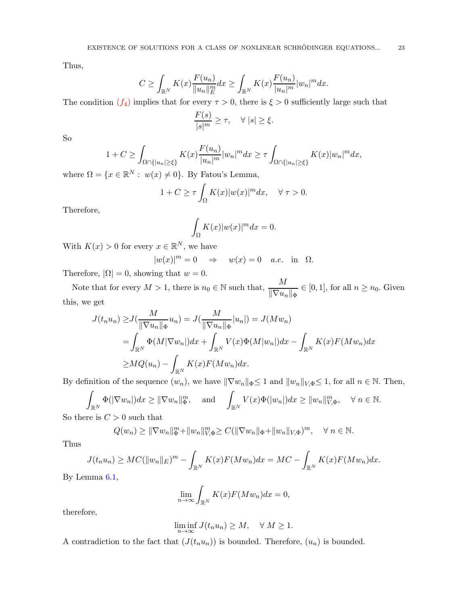Thus,

$$
C \ge \int_{\mathbb{R}^N} K(x) \frac{F(u_n)}{\|u_n\|_E^m} dx \ge \int_{\mathbb{R}^N} K(x) \frac{F(u_n)}{|u_n|^m} |u_n|^m dx.
$$

The condition  $(f_4)$  implies that for every  $\tau > 0$ , there is  $\xi > 0$  sufficiently large such that

$$
\frac{F(s)}{|s|^m} \ge \tau, \quad \forall |s| \ge \xi.
$$

So

$$
1 + C \ge \int_{\Omega \cap \{|u_n| \ge \xi\}} K(x) \frac{F(u_n)}{|u_n|^m} |w_n|^m dx \ge \tau \int_{\Omega \cap \{|u_n| \ge \xi\}} K(x) |w_n|^m dx,
$$

where  $\Omega = \{x \in \mathbb{R}^N : w(x) \neq 0\}$ . By Fatou's Lemma,

$$
1 + C \ge \tau \int_{\Omega} K(x) |w(x)|^m dx, \quad \forall \tau > 0.
$$

Therefore,

$$
\int_{\Omega} K(x)|w(x)|^m dx = 0.
$$

With  $K(x) > 0$  for every  $x \in \mathbb{R}^N$ , we have

$$
|w(x)|^m = 0 \quad \Rightarrow \quad w(x) = 0 \quad a.e. \text{ in } \Omega.
$$

Therefore,  $|\Omega| = 0$ , showing that  $w = 0$ .

Note that for every  $M > 1$ , there is  $n_0 \in \mathbb{N}$  such that,  $\frac{M}{\|\nabla u_n\|_{\Phi}} \in [0, 1]$ , for all  $n \ge n_0$ . Given this, we get

$$
J(t_n u_n) \ge J\left(\frac{M}{\|\nabla u_n\|_{\Phi}} u_n\right) = J\left(\frac{M}{\|\nabla u_n\|_{\Phi}} |u_n|\right) = J(Mw_n)
$$
  
= 
$$
\int_{\mathbb{R}^N} \Phi(M|\nabla w_n|) dx + \int_{\mathbb{R}^N} V(x) \Phi(M|w_n|) dx - \int_{\mathbb{R}^N} K(x) F(Mw_n) dx
$$
  

$$
\ge MQ(u_n) - \int_{\mathbb{R}^N} K(x) F(Mw_n) dx.
$$

By definition of the sequence  $(w_n)$ , we have  $\|\nabla w_n\|_{\Phi} \leq 1$  and  $\|w_n\|_{V,\Phi} \leq 1$ , for all  $n \in \mathbb{N}$ . Then,

$$
\int_{\mathbb{R}^N} \Phi(|\nabla w_n|) dx \ge ||\nabla w_n||_{\Phi}^m, \quad \text{and} \quad \int_{\mathbb{R}^N} V(x) \Phi(|w_n|) dx \ge ||w_n||_{V, \Phi}^m, \quad \forall n \in \mathbb{N}.
$$

So there is  $C > 0$  such that

$$
Q(w_n) \ge ||\nabla w_n||_{\Phi}^m + ||w_n||_{V,\Phi}^m \ge C(||\nabla w_n||_{\Phi} + ||w_n||_{V,\Phi})^m, \quad \forall n \in \mathbb{N}.
$$

Thus

$$
J(t_n u_n) \geq MC(||w_n||_E)^m - \int_{\mathbb{R}^N} K(x)F(Mw_n)dx = MC - \int_{\mathbb{R}^N} K(x)F(Mw_n)dx.
$$

By Lemma [6.1,](#page-17-2)

$$
\lim_{n \to \infty} \int_{\mathbb{R}^N} K(x) F(Mw_n) dx = 0,
$$

therefore,

$$
\liminf_{n \to \infty} J(t_n u_n) \ge M, \quad \forall M \ge 1.
$$

A contradiction to the fact that  $(J(t_n u_n))$  is bounded. Therefore,  $(u_n)$  is bounded.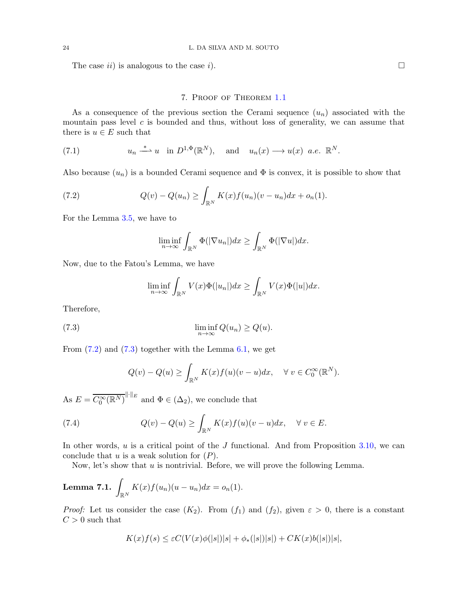The case ii) is analogous to the case i.

## 7. Proof of Theorem [1.1](#page-4-0)

As a consequence of the previous section the Cerami sequence  $(u_n)$  associated with the mountain pass level  $c$  is bounded and thus, without loss of generality, we can assume that there is  $u \in E$  such that

(7.1) 
$$
u_n \stackrel{*}{\longrightarrow} u
$$
 in  $D^{1,\Phi}(\mathbb{R}^N)$ , and  $u_n(x) \longrightarrow u(x)$  a.e.  $\mathbb{R}^N$ .

Also because  $(u_n)$  is a bounded Cerami sequence and  $\Phi$  is convex, it is possible to show that

<span id="page-23-0"></span>(7.2) 
$$
Q(v) - Q(u_n) \ge \int_{\mathbb{R}^N} K(x) f(u_n)(v - u_n) dx + o_n(1).
$$

For the Lemma [3.5,](#page-8-1) we have to

$$
\liminf_{n\to\infty}\int_{\mathbb{R}^N}\Phi(|\nabla u_n|)dx\geq \int_{\mathbb{R}^N}\Phi(|\nabla u|)dx.
$$

Now, due to the Fatou's Lemma, we have

$$
\liminf_{n\to\infty}\int_{\mathbb{R}^N}V(x)\Phi(|u_n|)dx\geq \int_{\mathbb{R}^N}V(x)\Phi(|u|)dx.
$$

Therefore,

<span id="page-23-1"></span>(7.3) 
$$
\liminf_{n \to \infty} Q(u_n) \ge Q(u).
$$

From  $(7.2)$  and  $(7.3)$  together with the Lemma [6.1,](#page-17-2) we get

$$
Q(v) - Q(u) \ge \int_{\mathbb{R}^N} K(x) f(u) (v - u) dx, \quad \forall \ v \in C_0^{\infty}(\mathbb{R}^N).
$$

As  $E = \overline{C_0^{\infty}(\mathbb{R}^N)}^{\|\cdot\|_E}$  and  $\Phi \in (\Delta_2)$ , we conclude that

(7.4) 
$$
Q(v) - Q(u) \ge \int_{\mathbb{R}^N} K(x) f(u)(v - u) dx, \quad \forall v \in E.
$$

In other words,  $u$  is a critical point of the  $J$  functional. And from Proposition [3.10,](#page-10-0) we can conclude that  $u$  is a weak solution for  $(P)$ .

Now, let's show that  $u$  is nontrivial. Before, we will prove the following Lemma.

<span id="page-23-2"></span>**Lemma 7.1.** 
$$
\int_{\mathbb{R}^N} K(x)f(u_n)(u - u_n)dx = o_n(1).
$$

*Proof:* Let us consider the case  $(K_2)$ . From  $(f_1)$  and  $(f_2)$ , given  $\varepsilon > 0$ , there is a constant  $C > 0$  such that

$$
K(x)f(s) \leq \varepsilon C(V(x)\phi(|s|)|s| + \phi_*(|s|)|s|) + CK(x)b(|s|)|s|,
$$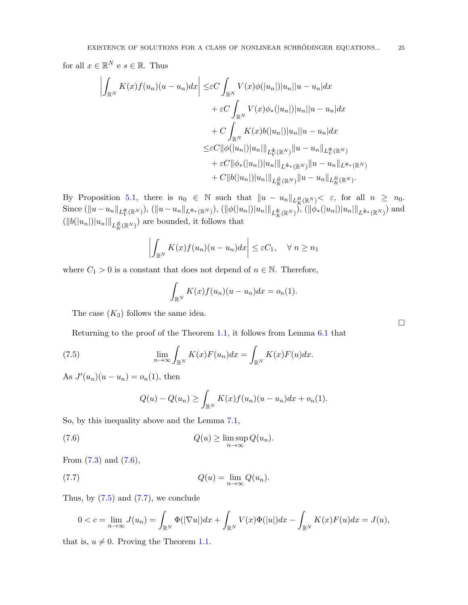for all  $x \in \mathbb{R}^N$  e  $s \in \mathbb{R}$ . Thus

$$
\left| \int_{\mathbb{R}^N} K(x) f(u_n)(u - u_n) dx \right| \leq \varepsilon C \int_{\mathbb{R}^N} V(x) \phi(|u_n|) |u_n| |u - u_n| dx \n+ \varepsilon C \int_{\mathbb{R}^N} V(x) \phi_*(|u_n|) |u_n| |u - u_n| dx \n+ C \int_{\mathbb{R}^N} K(x) b(|u_n|) |u_n| |u - u_n| dx \n\leq \varepsilon C ||\phi(|u_n|) |u_n| ||_{L^{\tilde{\Phi}}(\mathbb{R}^N)} ||u - u_n||_{L^{\Phi}(\mathbb{R}^N)} \n+ \varepsilon C ||\phi_*(|u_n|) |u_n| ||_{L^{\tilde{\Phi}_*}(\mathbb{R}^N)} ||u - u_n||_{L^{\Phi_*}(\mathbb{R}^N)} \n+ C ||b(|u_n|) |u_n| ||_{L^{\tilde{B}}_K(\mathbb{R}^N)} ||u - u_n||_{L^R_K(\mathbb{R}^N)}.
$$

By Proposition [5.1,](#page-14-1) there is  $n_0 \in \mathbb{N}$  such that  $||u - u_n||_{L_K^B(\mathbb{R}^N)} < \varepsilon$ , for all  $n \ge n_0$ .  $\text{Since } (\|u - u_n\|_{L^{\Phi}_V(\mathbb{R}^N)}), \, (\|u - u_n\|_{L^{\Phi_*}(\mathbb{R}^N)}), \, (\|\phi(|u_n|)|u_n|\|_{L^{\tilde{\Phi}}_K(\mathbb{R}^N)}), \, (\|\phi_*(|u_n|)|u_n|\|_{L^{\tilde{\Phi}_*}(\mathbb{R}^N)}) \text{ and}$  $(||b(|u_n|)||u_n||||_{L^{\bar{B}}_K(\mathbb{R}^N)})$  are bounded, it follows that

$$
\left| \int_{\mathbb{R}^N} K(x)f(u_n)(u - u_n)dx \right| \leq \varepsilon C_1, \quad \forall \ n \geq n_1
$$

where  $C_1 > 0$  is a constant that does not depend of  $n \in \mathbb{N}$ . Therefore,

$$
\int_{\mathbb{R}^N} K(x)f(u_n)(u-u_n)dx = o_n(1).
$$

The case  $(K_3)$  follows the same idea.

Returning to the proof of the Theorem [1.1,](#page-4-0) it follows from Lemma [6.1](#page-17-2) that

<span id="page-24-1"></span>(7.5) 
$$
\lim_{n \to \infty} \int_{\mathbb{R}^N} K(x) F(u_n) dx = \int_{\mathbb{R}^N} K(x) F(u) dx.
$$

As  $J'(u_n)(u - u_n) = o_n(1)$ , then

$$
Q(u) - Q(u_n) \ge \int_{\mathbb{R}^N} K(x)f(u_n)(u - u_n)dx + o_n(1).
$$

So, by this inequality above and the Lemma [7.1,](#page-23-2)

<span id="page-24-0"></span>(7.6) 
$$
Q(u) \geq \limsup_{n \to \infty} Q(u_n).
$$

From  $(7.3)$  and  $(7.6)$ ,

<span id="page-24-2"></span>(7.7) 
$$
Q(u) = \lim_{n \to \infty} Q(u_n).
$$

Thus, by  $(7.5)$  and  $(7.7)$ , we conclude

$$
0 < c = \lim_{n \to \infty} J(u_n) = \int_{\mathbb{R}^N} \Phi(|\nabla u|) dx + \int_{\mathbb{R}^N} V(x) \Phi(|u|) dx - \int_{\mathbb{R}^N} K(x) F(u) dx = J(u),
$$

that is,  $u \neq 0$ . Proving the Theorem [1.1.](#page-4-0)

 $\Box$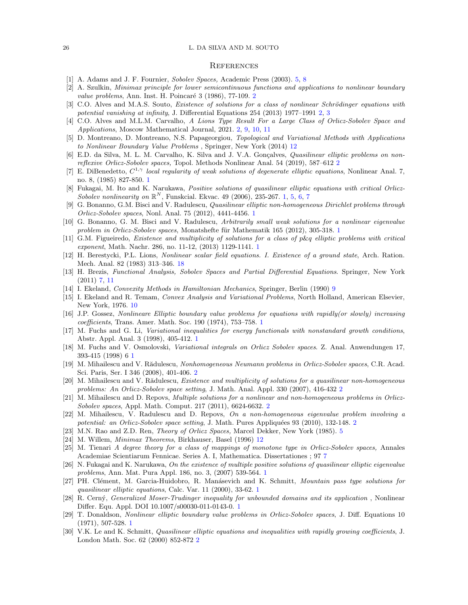#### 26 L. DA SILVA AND M. SOUTO

#### **REFERENCES**

- <span id="page-25-21"></span><span id="page-25-17"></span>[1] A. Adams and J. F. Fournier, Sobolev Spaces, Academic Press (2003). [5,](#page-4-1) [8](#page-7-2)
- <span id="page-25-20"></span>[2] A. Szulkin, Minimax principle for lower semicontinuous functions and applications to nonlinear boundary value problems, Ann. Inst. H. Poincaré 3 (1986), 77-109. [2](#page-1-0)
- [3] C.O. Alves and M.A.S. Souto, Existence of solutions for a class of nonlinear Schrödinger equations with potential vanishing at infinity, J. Differential Equations 254 (2013) 1977–1991 [2,](#page-1-0) [3](#page-2-1)
- <span id="page-25-18"></span>[4] C.O. Alves and M.L.M. Carvalho, A Lions Type Result For a Large Class of Orlicz-Sobolev Space and Applications, Moscow Mathematical Journal, 2021. [2,](#page-1-0) [9,](#page-8-2) [10,](#page-9-1) [11](#page-10-1)
- <span id="page-25-27"></span>[5] D. Montreano, D. Montreano, N.S. Papageorgiou, Topological and Variational Methods with Applications to Nonlinear Boundary Value Problems , Springer, New York (2014) [12](#page-11-2)
- <span id="page-25-19"></span>[6] E.D. da Silva, M. L. M. Carvalho, K. Silva and J. V.A. Gonçalves, *Quasilinear elliptic problems on non*reflexive Orlicz-Sobolev spaces, Topol. Methods Nonlinear Anal. 54 (2019), 587–612 [2](#page-1-0)
- <span id="page-25-0"></span>[7] E. DiBenedetto,  $C^{1,\gamma}$  local regularity of weak solutions of degenerate elliptic equations, Nonlinear Anal. 7, no. 8, (1985) 827-850. [1](#page-0-1)
- <span id="page-25-10"></span>[8] Fukagai, M. Ito and K. Narukawa, *Positive solutions of quasilinear elliptic equations with critical Orlicz*-Sobolev nonlinearity on  $\mathbb{R}^N$ , Funskcial. Ekvac. 49 (2006), 235-267. [1,](#page-0-1) [5,](#page-4-1) [6,](#page-5-3) [7](#page-6-5)
- <span id="page-25-3"></span>[9] G. Bonanno, G.M. Bisci and V. Radulescu, Quasilinear elliptic non-homogeneous Dirichlet problems through Orlicz-Sobolev spaces, Nonl. Anal. 75 (2012), 4441-4456. [1](#page-0-1)
- <span id="page-25-4"></span>[10] G. Bonanno, G. M. Bisci and V. Radulescu, Arbitrarily small weak solutions for a nonlinear eigenvalue problem in Orlicz-Sobolev spaces, Monatshefte für Mathematik [1](#page-0-1)65 (2012), 305-318. 1
- <span id="page-25-1"></span>[11] G.M. Figueiredo, Existence and multiplicity of solutions for a class of p&q elliptic problems with critical exponent, Math. Nachr. 286, no. 11-12, (2013) 1129-1141. [1](#page-0-1)
- <span id="page-25-29"></span>[12] H. Berestycki, P.L. Lions, Nonlinear scalar field equations. I. Existence of a ground state, Arch. Ration. Mech. Anal. 82 (1983) 313–346. [18](#page-17-3)
- <span id="page-25-24"></span>[13] H. Brezis, Functional Analysis, Sobolev Spaces and Partial Differential Equations. Springer, New York (2011) [7,](#page-6-5) [11](#page-10-1)
- <span id="page-25-26"></span><span id="page-25-25"></span>[14] I. Ekeland, Convexity Methods in Hamiltonian Mechanics, Springer, Berlin (1990) [9](#page-8-2)
- [15] I. Ekeland and R. Temam, Convex Analysis and Variational Problems, North Holland, American Elsevier, New York, 1976. [10](#page-9-1)
- <span id="page-25-11"></span>[16] J.P. Gossez, Nonlineare Elliptic boundary value problems for equations with rapidly(or slowly) increasing coefficients, Trans. Amer. Math. Soc. 190 (1974), 753–758. [1](#page-0-1)
- <span id="page-25-8"></span>[17] M. Fuchs and G. Li, Variational inequalities for energy functionals with nonstandard growth conditions, Abstr. Appl. Anal. 3 (1998), 405-412. [1](#page-0-1)
- <span id="page-25-9"></span>[18] M. Fuchs and V. Osmolovski, Variational integrals on Orlicz Sobolev spaces. Z. Anal. Anwendungen 17, 393-415 (1998) 6 [1](#page-0-1)
- <span id="page-25-13"></span>[19] M. Mihailescu and V. Rădulescu, Nonhomogeneous Neumann problems in Orlicz-Sobolev spaces, C.R. Acad. Sci. Paris, Ser. I 346 (2008), 401-406. [2](#page-1-0)
- <span id="page-25-14"></span>[20] M. Mihailescu and V. Rădulescu, Existence and multiplicity of solutions for a quasilinear non-homogeneous problems: An Orlicz-Sobolev space setting, J. Math. Anal. Appl. 330 (2007), 416-432 [2](#page-1-0)
- <span id="page-25-15"></span>[21] M. Mihailescu and D. Repovs, Multiple solutions for a nonlinear and non-homogeneous problems in Orlicz-Sobolev spaces, Appl. Math. Comput. 217 (2011), 6624-6632. [2](#page-1-0)
- <span id="page-25-16"></span>[22] M. Mihailescu, V. Radulescu and D. Repovs, On a non-homogeneous eigenvalue problem involving a potential: an Orlicz-Sobolev space setting, J. Math. Pures Appliquées 93 ([2](#page-1-0)010), 132-148. 2
- <span id="page-25-28"></span><span id="page-25-22"></span>[23] M.N. Rao and Z.D. Ren, Theory of Orlicz Spaces, Marcel Dekker, New York (1985). [5](#page-4-1)
- <span id="page-25-23"></span>[24] M. Willem, Minimax Theorems, Birkhauser, Basel (1996) [12](#page-11-2)
- [25] M. Tienari A degree theory for a class of mappings of monotone type in Orlicz-Sobolev spaces, Annales Academiae Scientiarum Fennicae. Series A. I, Mathematica. Dissertationes ; 97 [7](#page-6-5)
- <span id="page-25-2"></span>[26] N. Fukagai and K. Narukawa, On the existence of multiple positive solutions of quasilinear elliptic eigenvalue problems, Ann. Mat. Pura Appl. 186, no. 3, (2007) 539-564. [1](#page-0-1)
- <span id="page-25-6"></span>[27] PH. Clément, M. Garcia-Huidobro, R. Manásevich and K. Schmitt, *Mountain pass type solutions for* quasilinear elliptic equations, Calc. Var. 11 (2000), 33-62. [1](#page-0-1)
- <span id="page-25-5"></span>[28] R. Cern´y, Generalized Moser-Trudinger inequality for unbounded domains and its application , Nonlinear Differ. Equ. Appl. DOI 10.1007/s00030-011-0143-0. [1](#page-0-1)
- <span id="page-25-7"></span>[29] T. Donaldson, Nonlinear elliptic boundary value problems in Orlicz-Sobolev spaces, J. Diff. Equations 10 (1971), 507-528. [1](#page-0-1)
- <span id="page-25-12"></span>[30] V.K. Le and K. Schmitt, Quasilinear elliptic equations and inequalities with rapidly growing coefficients, J. London Math. Soc. 62 (2000) 852-872 [2](#page-1-0)